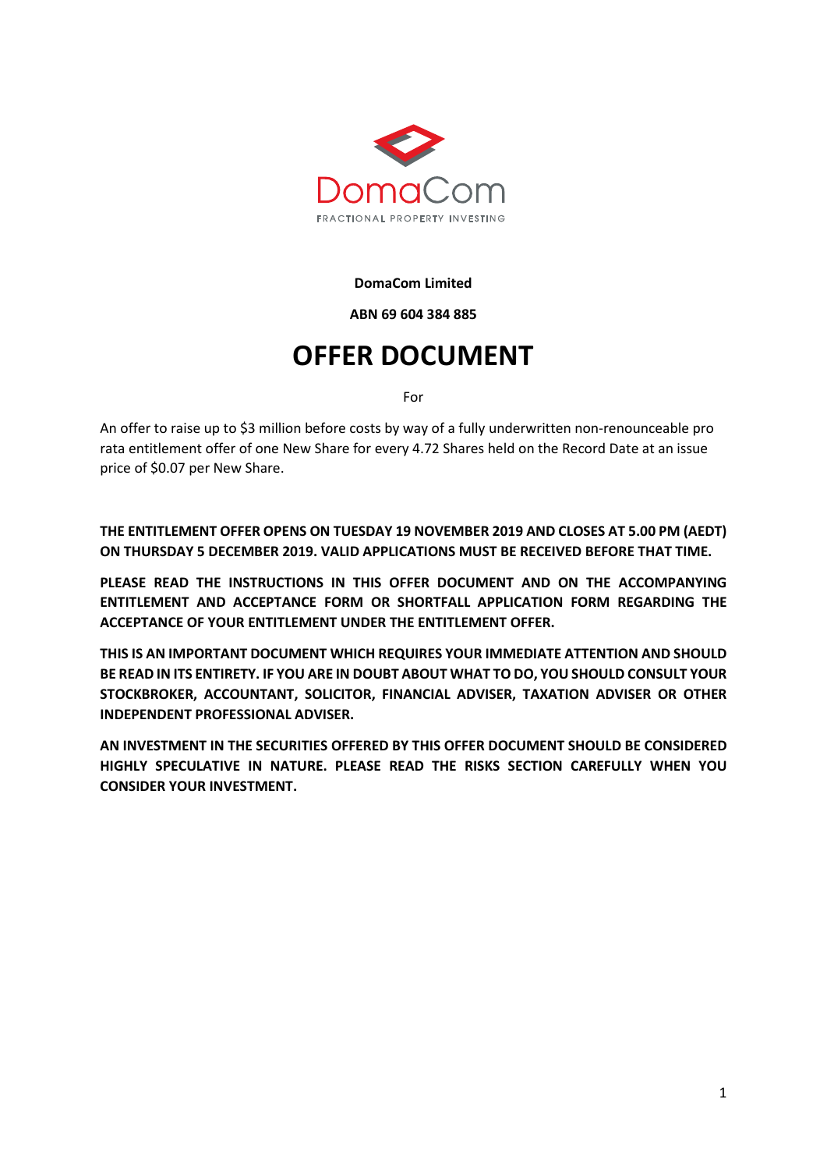

**DomaCom Limited**

**ABN 69 604 384 885**

# **OFFER DOCUMENT**

For

An offer to raise up to \$3 million before costs by way of a fully underwritten non-renounceable pro rata entitlement offer of one New Share for every 4.72 Shares held on the Record Date at an issue price of \$0.07 per New Share.

**THE ENTITLEMENT OFFER OPENS ON TUESDAY 19 NOVEMBER 2019 AND CLOSES AT 5.00 PM (AEDT) ON THURSDAY 5 DECEMBER 2019. VALID APPLICATIONS MUST BE RECEIVED BEFORE THAT TIME.** 

**PLEASE READ THE INSTRUCTIONS IN THIS OFFER DOCUMENT AND ON THE ACCOMPANYING ENTITLEMENT AND ACCEPTANCE FORM OR SHORTFALL APPLICATION FORM REGARDING THE ACCEPTANCE OF YOUR ENTITLEMENT UNDER THE ENTITLEMENT OFFER.** 

**THIS IS AN IMPORTANT DOCUMENT WHICH REQUIRES YOUR IMMEDIATE ATTENTION AND SHOULD BE READ IN ITS ENTIRETY. IF YOU ARE IN DOUBT ABOUT WHAT TO DO, YOU SHOULD CONSULT YOUR STOCKBROKER, ACCOUNTANT, SOLICITOR, FINANCIAL ADVISER, TAXATION ADVISER OR OTHER INDEPENDENT PROFESSIONAL ADVISER.**

**AN INVESTMENT IN THE SECURITIES OFFERED BY THIS OFFER DOCUMENT SHOULD BE CONSIDERED HIGHLY SPECULATIVE IN NATURE. PLEASE READ THE RISKS SECTION CAREFULLY WHEN YOU CONSIDER YOUR INVESTMENT.**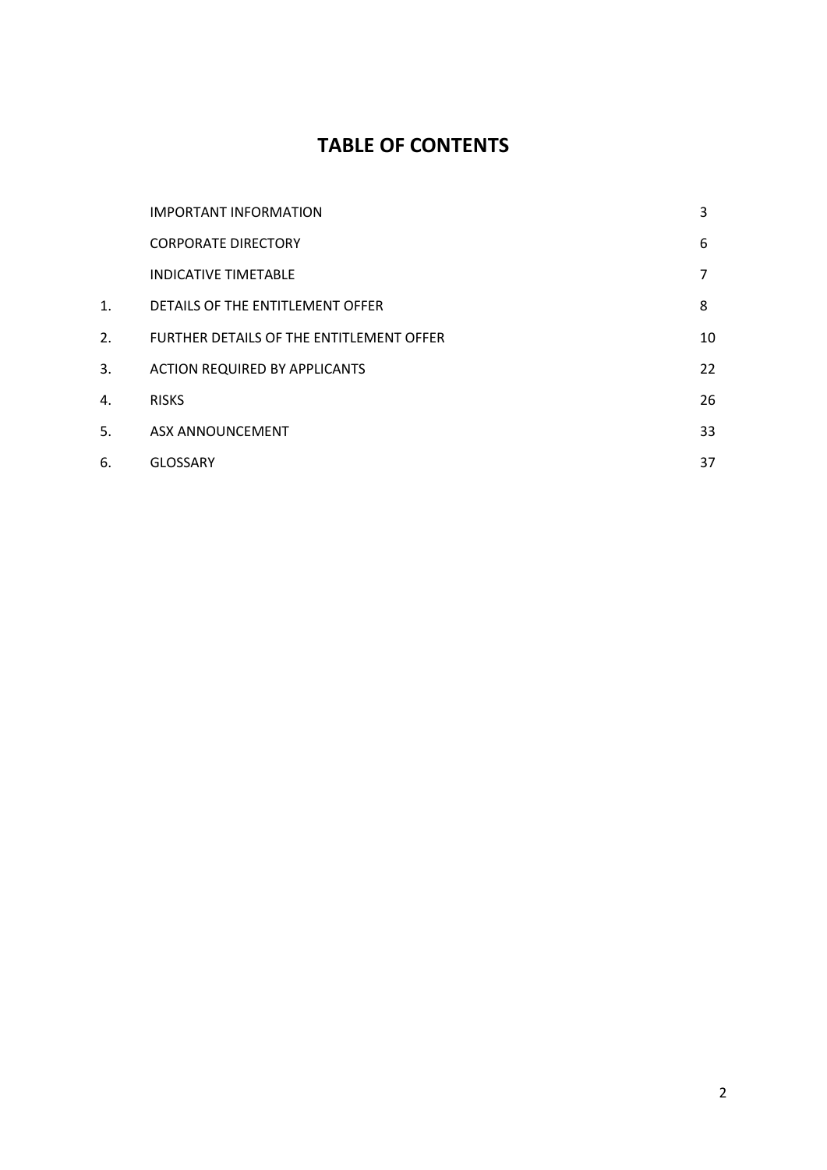# **TABLE OF CONTENTS**

|    | <b>IMPORTANT INFORMATION</b>             | 3  |
|----|------------------------------------------|----|
|    | <b>CORPORATE DIRECTORY</b>               | 6  |
|    | <b>INDICATIVE TIMETABLE</b>              | 7  |
| 1. | DETAILS OF THE ENTITLEMENT OFFER         | 8  |
| 2. | FURTHER DETAILS OF THE ENTITLEMENT OFFER | 10 |
| 3. | <b>ACTION REQUIRED BY APPLICANTS</b>     | 22 |
| 4. | <b>RISKS</b>                             | 26 |
| 5. | <b>ASX ANNOUNCEMENT</b>                  | 33 |
| 6. | <b>GLOSSARY</b>                          | 37 |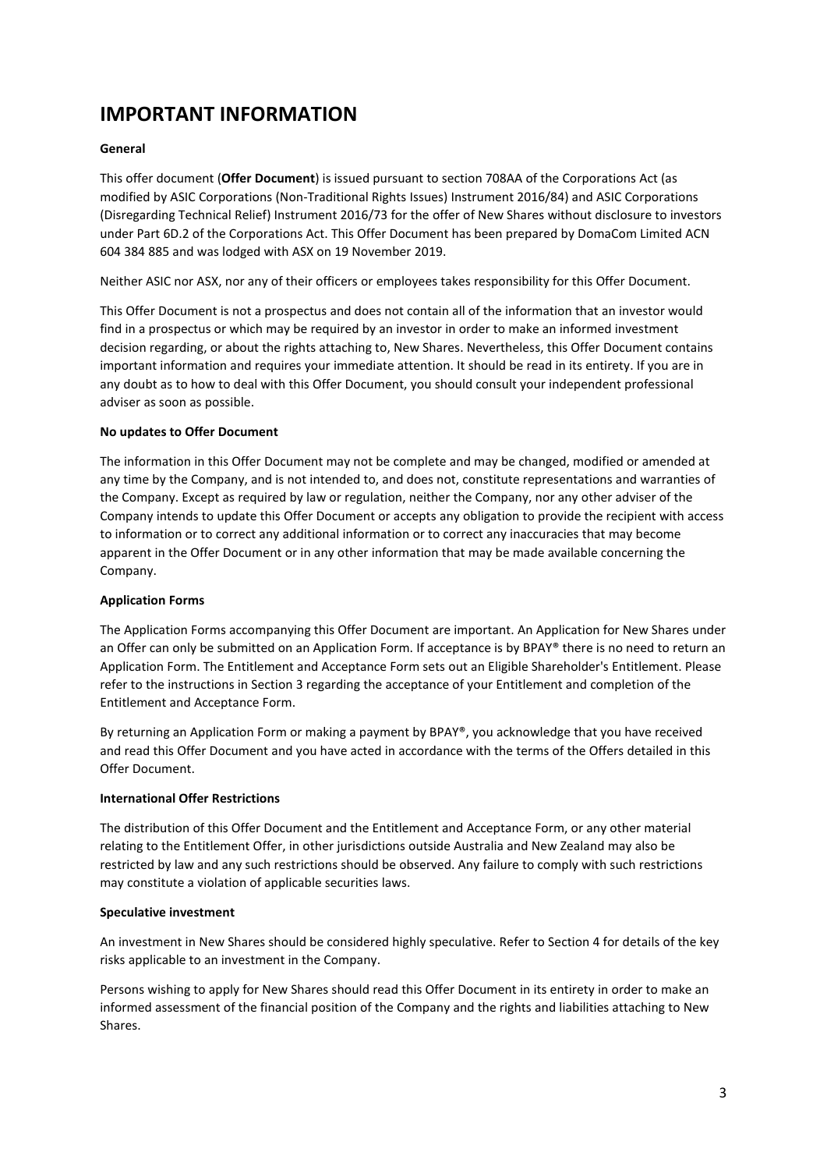# **IMPORTANT INFORMATION**

### **General**

This offer document (**Offer Document**) is issued pursuant to section 708AA of the Corporations Act (as modified by ASIC Corporations (Non-Traditional Rights Issues) Instrument 2016/84) and ASIC Corporations (Disregarding Technical Relief) Instrument 2016/73 for the offer of New Shares without disclosure to investors under Part 6D.2 of the Corporations Act. This Offer Document has been prepared by DomaCom Limited ACN 604 384 885 and was lodged with ASX on 19 November 2019.

Neither ASIC nor ASX, nor any of their officers or employees takes responsibility for this Offer Document.

This Offer Document is not a prospectus and does not contain all of the information that an investor would find in a prospectus or which may be required by an investor in order to make an informed investment decision regarding, or about the rights attaching to, New Shares. Nevertheless, this Offer Document contains important information and requires your immediate attention. It should be read in its entirety. If you are in any doubt as to how to deal with this Offer Document, you should consult your independent professional adviser as soon as possible.

### **No updates to Offer Document**

The information in this Offer Document may not be complete and may be changed, modified or amended at any time by the Company, and is not intended to, and does not, constitute representations and warranties of the Company. Except as required by law or regulation, neither the Company, nor any other adviser of the Company intends to update this Offer Document or accepts any obligation to provide the recipient with access to information or to correct any additional information or to correct any inaccuracies that may become apparent in the Offer Document or in any other information that may be made available concerning the Company.

### **Application Forms**

The Application Forms accompanying this Offer Document are important. An Application for New Shares under an Offer can only be submitted on an Application Form. If acceptance is by BPAY® there is no need to return an Application Form. The Entitlement and Acceptance Form sets out an Eligible Shareholder's Entitlement. Please refer to the instructions in Section 3 regarding the acceptance of your Entitlement and completion of the Entitlement and Acceptance Form.

By returning an Application Form or making a payment by BPAY®, you acknowledge that you have received and read this Offer Document and you have acted in accordance with the terms of the Offers detailed in this Offer Document.

### **International Offer Restrictions**

The distribution of this Offer Document and the Entitlement and Acceptance Form, or any other material relating to the Entitlement Offer, in other jurisdictions outside Australia and New Zealand may also be restricted by law and any such restrictions should be observed. Any failure to comply with such restrictions may constitute a violation of applicable securities laws.

### **Speculative investment**

An investment in New Shares should be considered highly speculative. Refer to Section 4 for details of the key risks applicable to an investment in the Company.

Persons wishing to apply for New Shares should read this Offer Document in its entirety in order to make an informed assessment of the financial position of the Company and the rights and liabilities attaching to New Shares.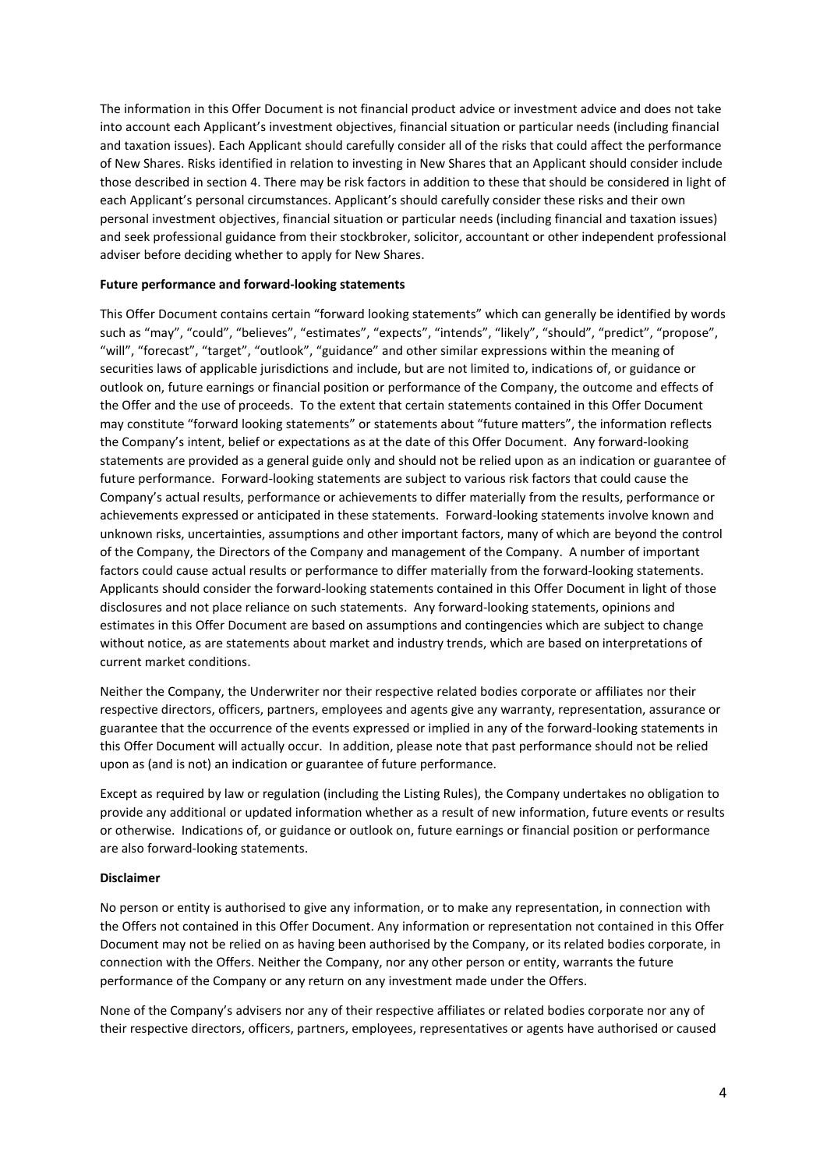The information in this Offer Document is not financial product advice or investment advice and does not take into account each Applicant's investment objectives, financial situation or particular needs (including financial and taxation issues). Each Applicant should carefully consider all of the risks that could affect the performance of New Shares. Risks identified in relation to investing in New Shares that an Applicant should consider include those described in section 4. There may be risk factors in addition to these that should be considered in light of each Applicant's personal circumstances. Applicant's should carefully consider these risks and their own personal investment objectives, financial situation or particular needs (including financial and taxation issues) and seek professional guidance from their stockbroker, solicitor, accountant or other independent professional adviser before deciding whether to apply for New Shares.

### **Future performance and forward-looking statements**

This Offer Document contains certain "forward looking statements" which can generally be identified by words such as "may", "could", "believes", "estimates", "expects", "intends", "likely", "should", "predict", "propose", "will", "forecast", "target", "outlook", "guidance" and other similar expressions within the meaning of securities laws of applicable jurisdictions and include, but are not limited to, indications of, or guidance or outlook on, future earnings or financial position or performance of the Company, the outcome and effects of the Offer and the use of proceeds. To the extent that certain statements contained in this Offer Document may constitute "forward looking statements" or statements about "future matters", the information reflects the Company's intent, belief or expectations as at the date of this Offer Document. Any forward-looking statements are provided as a general guide only and should not be relied upon as an indication or guarantee of future performance. Forward-looking statements are subject to various risk factors that could cause the Company's actual results, performance or achievements to differ materially from the results, performance or achievements expressed or anticipated in these statements. Forward-looking statements involve known and unknown risks, uncertainties, assumptions and other important factors, many of which are beyond the control of the Company, the Directors of the Company and management of the Company. A number of important factors could cause actual results or performance to differ materially from the forward-looking statements. Applicants should consider the forward-looking statements contained in this Offer Document in light of those disclosures and not place reliance on such statements. Any forward-looking statements, opinions and estimates in this Offer Document are based on assumptions and contingencies which are subject to change without notice, as are statements about market and industry trends, which are based on interpretations of current market conditions.

Neither the Company, the Underwriter nor their respective related bodies corporate or affiliates nor their respective directors, officers, partners, employees and agents give any warranty, representation, assurance or guarantee that the occurrence of the events expressed or implied in any of the forward-looking statements in this Offer Document will actually occur. In addition, please note that past performance should not be relied upon as (and is not) an indication or guarantee of future performance.

Except as required by law or regulation (including the Listing Rules), the Company undertakes no obligation to provide any additional or updated information whether as a result of new information, future events or results or otherwise. Indications of, or guidance or outlook on, future earnings or financial position or performance are also forward-looking statements.

#### **Disclaimer**

No person or entity is authorised to give any information, or to make any representation, in connection with the Offers not contained in this Offer Document. Any information or representation not contained in this Offer Document may not be relied on as having been authorised by the Company, or its related bodies corporate, in connection with the Offers. Neither the Company, nor any other person or entity, warrants the future performance of the Company or any return on any investment made under the Offers.

None of the Company's advisers nor any of their respective affiliates or related bodies corporate nor any of their respective directors, officers, partners, employees, representatives or agents have authorised or caused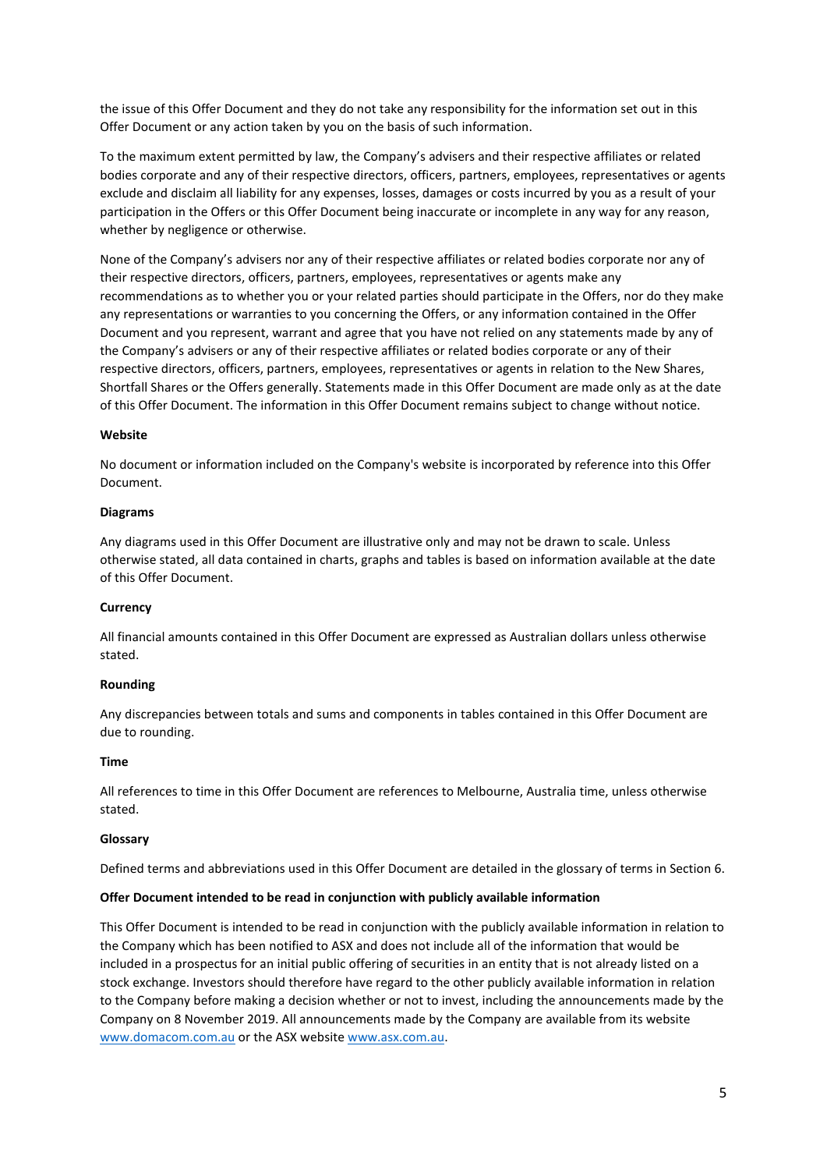the issue of this Offer Document and they do not take any responsibility for the information set out in this Offer Document or any action taken by you on the basis of such information.

To the maximum extent permitted by law, the Company's advisers and their respective affiliates or related bodies corporate and any of their respective directors, officers, partners, employees, representatives or agents exclude and disclaim all liability for any expenses, losses, damages or costs incurred by you as a result of your participation in the Offers or this Offer Document being inaccurate or incomplete in any way for any reason, whether by negligence or otherwise.

None of the Company's advisers nor any of their respective affiliates or related bodies corporate nor any of their respective directors, officers, partners, employees, representatives or agents make any recommendations as to whether you or your related parties should participate in the Offers, nor do they make any representations or warranties to you concerning the Offers, or any information contained in the Offer Document and you represent, warrant and agree that you have not relied on any statements made by any of the Company's advisers or any of their respective affiliates or related bodies corporate or any of their respective directors, officers, partners, employees, representatives or agents in relation to the New Shares, Shortfall Shares or the Offers generally. Statements made in this Offer Document are made only as at the date of this Offer Document. The information in this Offer Document remains subject to change without notice.

### **Website**

No document or information included on the Company's website is incorporated by reference into this Offer Document.

#### **Diagrams**

Any diagrams used in this Offer Document are illustrative only and may not be drawn to scale. Unless otherwise stated, all data contained in charts, graphs and tables is based on information available at the date of this Offer Document.

#### **Currency**

All financial amounts contained in this Offer Document are expressed as Australian dollars unless otherwise stated.

#### **Rounding**

Any discrepancies between totals and sums and components in tables contained in this Offer Document are due to rounding.

#### **Time**

All references to time in this Offer Document are references to Melbourne, Australia time, unless otherwise stated.

#### **Glossary**

Defined terms and abbreviations used in this Offer Document are detailed in the glossary of terms in Section 6.

### **Offer Document intended to be read in conjunction with publicly available information**

This Offer Document is intended to be read in conjunction with the publicly available information in relation to the Company which has been notified to ASX and does not include all of the information that would be included in a prospectus for an initial public offering of securities in an entity that is not already listed on a stock exchange. Investors should therefore have regard to the other publicly available information in relation to the Company before making a decision whether or not to invest, including the announcements made by the Company on 8 November 2019. All announcements made by the Company are available from its website [www.domacom.com.au](http://www.domacom.com.au/) or the ASX websit[e www.asx.com.au.](http://www.asx.com.au/)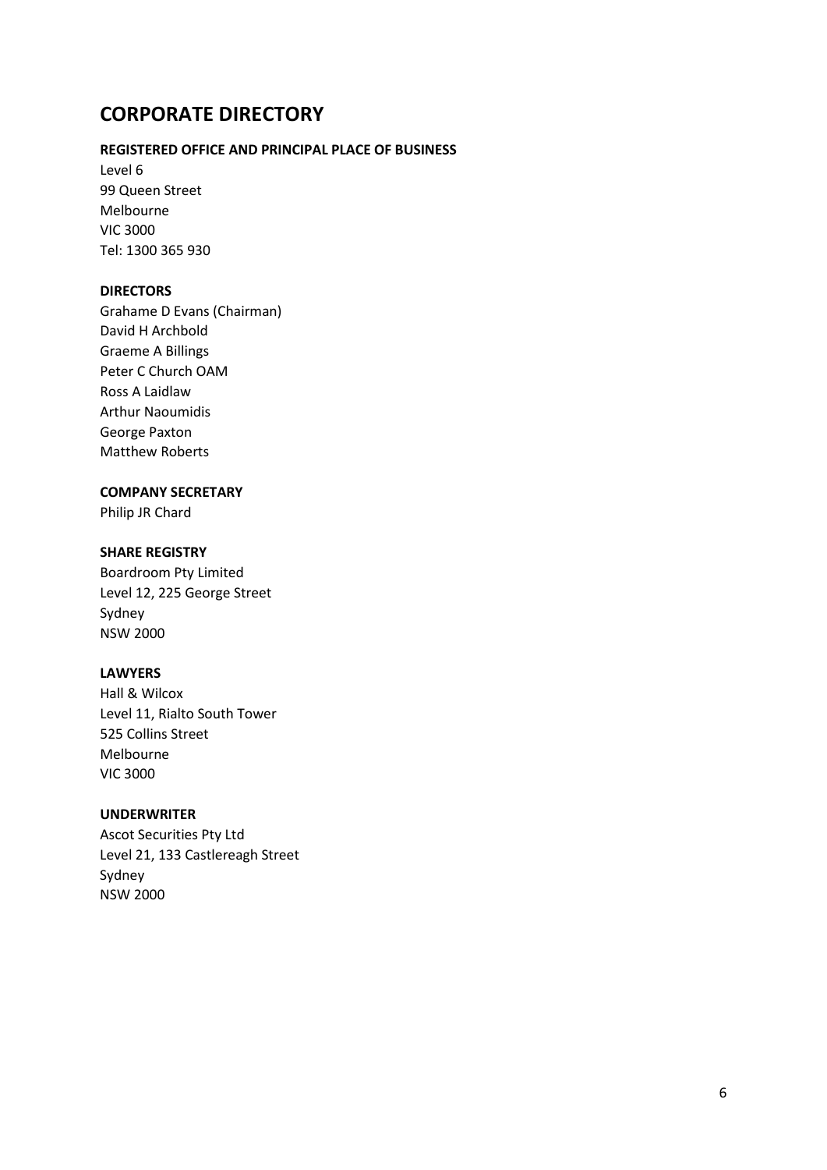# **CORPORATE DIRECTORY**

## **REGISTERED OFFICE AND PRINCIPAL PLACE OF BUSINESS**

Level 6 99 Queen Street Melbourne VIC 3000 Tel: 1300 365 930

### **DIRECTORS**

Grahame D Evans (Chairman) David H Archbold Graeme A Billings Peter C Church OAM Ross A Laidlaw Arthur Naoumidis George Paxton Matthew Roberts

### **COMPANY SECRETARY**

Philip JR Chard

### **SHARE REGISTRY**

Boardroom Pty Limited Level 12, 225 George Street Sydney NSW 2000

### **LAWYERS**

Hall & Wilcox Level 11, Rialto South Tower 525 Collins Street Melbourne VIC 3000

## **UNDERWRITER**

Ascot Securities Pty Ltd Level 21, 133 Castlereagh Street Sydney NSW 2000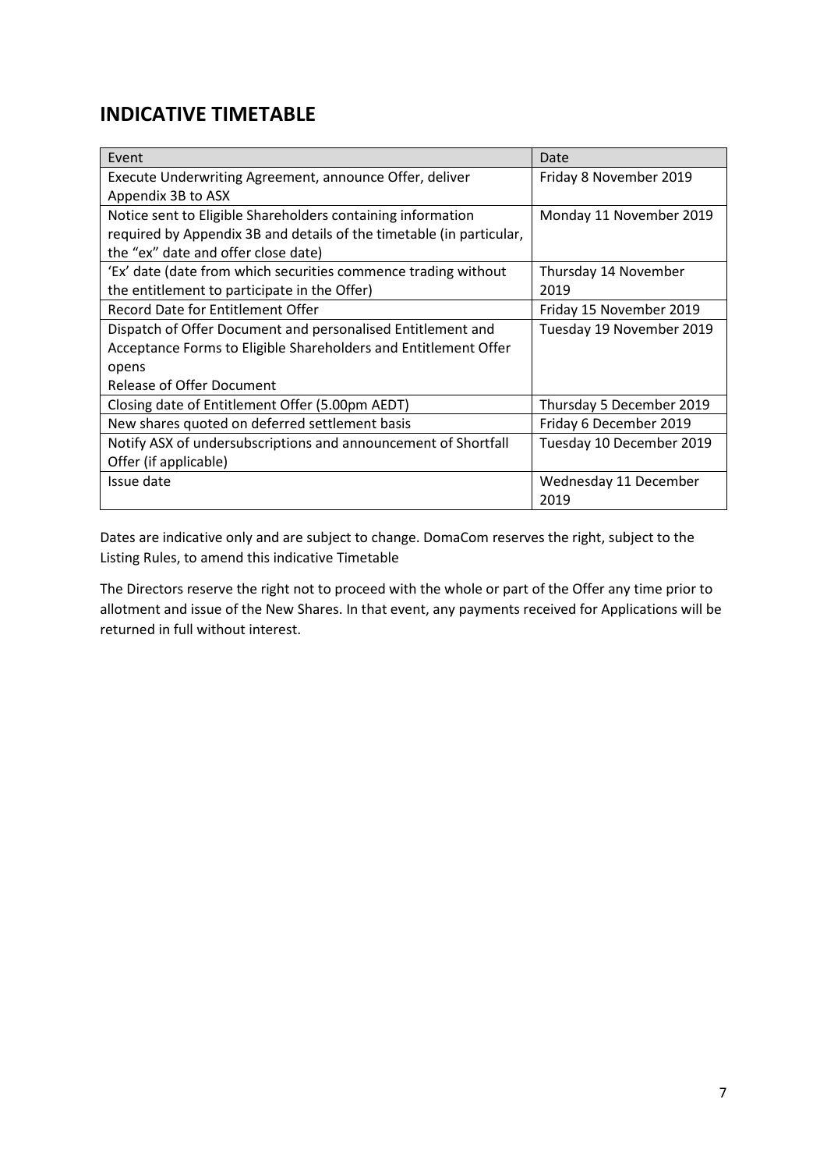# **INDICATIVE TIMETABLE**

| Event                                                                | Date                     |
|----------------------------------------------------------------------|--------------------------|
| Execute Underwriting Agreement, announce Offer, deliver              | Friday 8 November 2019   |
| Appendix 3B to ASX                                                   |                          |
| Notice sent to Eligible Shareholders containing information          | Monday 11 November 2019  |
| required by Appendix 3B and details of the timetable (in particular, |                          |
| the "ex" date and offer close date)                                  |                          |
| 'Ex' date (date from which securities commence trading without       | Thursday 14 November     |
| the entitlement to participate in the Offer)                         | 2019                     |
| Record Date for Entitlement Offer                                    | Friday 15 November 2019  |
| Dispatch of Offer Document and personalised Entitlement and          | Tuesday 19 November 2019 |
| Acceptance Forms to Eligible Shareholders and Entitlement Offer      |                          |
| opens                                                                |                          |
| <b>Release of Offer Document</b>                                     |                          |
| Closing date of Entitlement Offer (5.00pm AEDT)                      | Thursday 5 December 2019 |
| New shares quoted on deferred settlement basis                       | Friday 6 December 2019   |
| Notify ASX of undersubscriptions and announcement of Shortfall       | Tuesday 10 December 2019 |
| Offer (if applicable)                                                |                          |
| Issue date                                                           | Wednesday 11 December    |
|                                                                      | 2019                     |

Dates are indicative only and are subject to change. DomaCom reserves the right, subject to the Listing Rules, to amend this indicative Timetable

The Directors reserve the right not to proceed with the whole or part of the Offer any time prior to allotment and issue of the New Shares. In that event, any payments received for Applications will be returned in full without interest.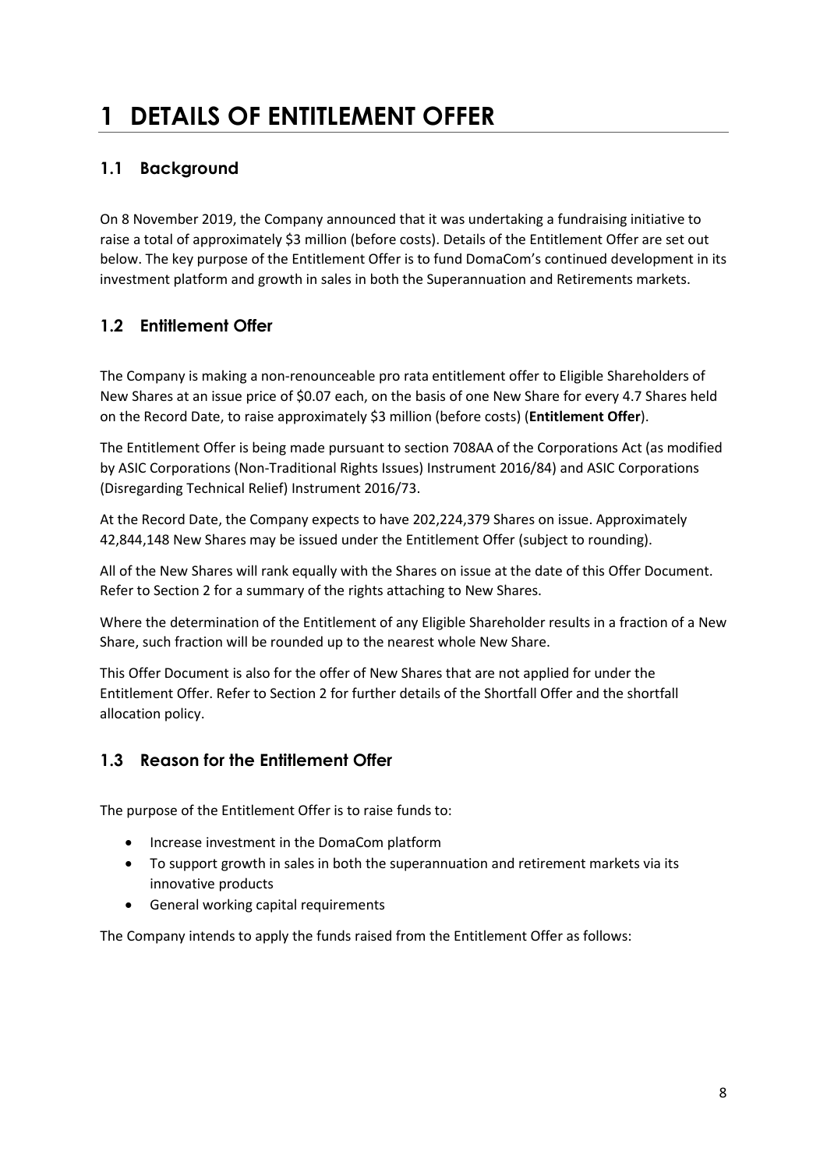# **1 DETAILS OF ENTITLEMENT OFFER**

# **1.1 Background**

On 8 November 2019, the Company announced that it was undertaking a fundraising initiative to raise a total of approximately \$3 million (before costs). Details of the Entitlement Offer are set out below. The key purpose of the Entitlement Offer is to fund DomaCom's continued development in its investment platform and growth in sales in both the Superannuation and Retirements markets.

# **1.2 Entitlement Offer**

The Company is making a non-renounceable pro rata entitlement offer to Eligible Shareholders of New Shares at an issue price of \$0.07 each, on the basis of one New Share for every 4.7 Shares held on the Record Date, to raise approximately \$3 million (before costs) (**Entitlement Offer**).

The Entitlement Offer is being made pursuant to section 708AA of the Corporations Act (as modified by ASIC Corporations (Non-Traditional Rights Issues) Instrument 2016/84) and ASIC Corporations (Disregarding Technical Relief) Instrument 2016/73.

At the Record Date, the Company expects to have 202,224,379 Shares on issue. Approximately 42,844,148 New Shares may be issued under the Entitlement Offer (subject to rounding).

All of the New Shares will rank equally with the Shares on issue at the date of this Offer Document. Refer to Section 2 for a summary of the rights attaching to New Shares.

Where the determination of the Entitlement of any Eligible Shareholder results in a fraction of a New Share, such fraction will be rounded up to the nearest whole New Share.

This Offer Document is also for the offer of New Shares that are not applied for under the Entitlement Offer. Refer to Section 2 for further details of the Shortfall Offer and the shortfall allocation policy.

# **1.3 Reason for the Entitlement Offer**

The purpose of the Entitlement Offer is to raise funds to:

- Increase investment in the DomaCom platform
- To support growth in sales in both the superannuation and retirement markets via its innovative products
- General working capital requirements

The Company intends to apply the funds raised from the Entitlement Offer as follows: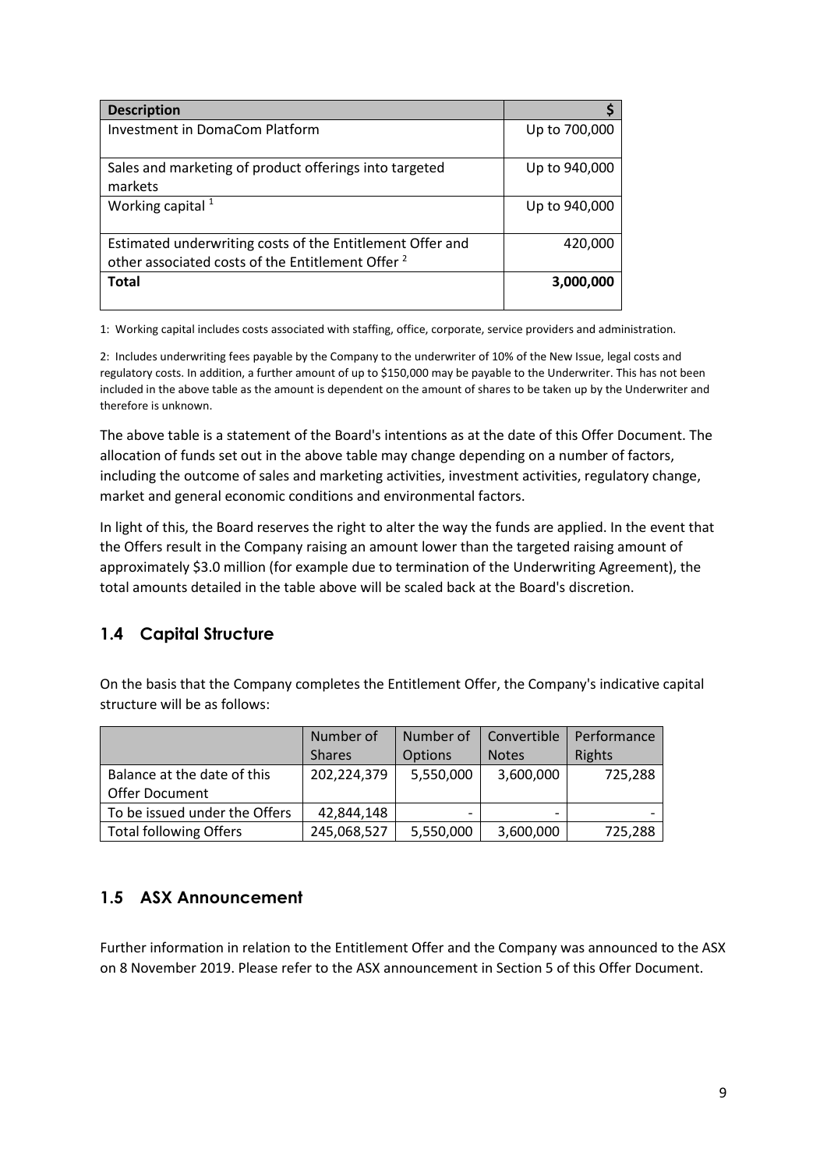| <b>Description</b>                                                                                                        |               |
|---------------------------------------------------------------------------------------------------------------------------|---------------|
| Investment in DomaCom Platform                                                                                            | Up to 700,000 |
| Sales and marketing of product offerings into targeted<br>markets                                                         | Up to 940,000 |
| Working capital $1$                                                                                                       | Up to 940,000 |
| Estimated underwriting costs of the Entitlement Offer and<br>other associated costs of the Entitlement Offer <sup>2</sup> | 420,000       |
| <b>Total</b>                                                                                                              | 3,000,000     |

1: Working capital includes costs associated with staffing, office, corporate, service providers and administration.

2: Includes underwriting fees payable by the Company to the underwriter of 10% of the New Issue, legal costs and regulatory costs. In addition, a further amount of up to \$150,000 may be payable to the Underwriter. This has not been included in the above table as the amount is dependent on the amount of shares to be taken up by the Underwriter and therefore is unknown.

The above table is a statement of the Board's intentions as at the date of this Offer Document. The allocation of funds set out in the above table may change depending on a number of factors, including the outcome of sales and marketing activities, investment activities, regulatory change, market and general economic conditions and environmental factors.

In light of this, the Board reserves the right to alter the way the funds are applied. In the event that the Offers result in the Company raising an amount lower than the targeted raising amount of approximately \$3.0 million (for example due to termination of the Underwriting Agreement), the total amounts detailed in the table above will be scaled back at the Board's discretion.

## **1.4 Capital Structure**

On the basis that the Company completes the Entitlement Offer, the Company's indicative capital structure will be as follows:

|                               | Number of     | Number of | Convertible  | Performance |
|-------------------------------|---------------|-----------|--------------|-------------|
|                               | <b>Shares</b> | Options   | <b>Notes</b> | Rights      |
| Balance at the date of this   | 202,224,379   | 5,550,000 | 3,600,000    | 725,288     |
| <b>Offer Document</b>         |               |           |              |             |
| To be issued under the Offers | 42,844,148    |           |              |             |
| <b>Total following Offers</b> | 245,068,527   | 5,550,000 | 3,600,000    | 725,288     |

## **1.5 ASX Announcement**

Further information in relation to the Entitlement Offer and the Company was announced to the ASX on 8 November 2019. Please refer to the ASX announcement in Section 5 of this Offer Document.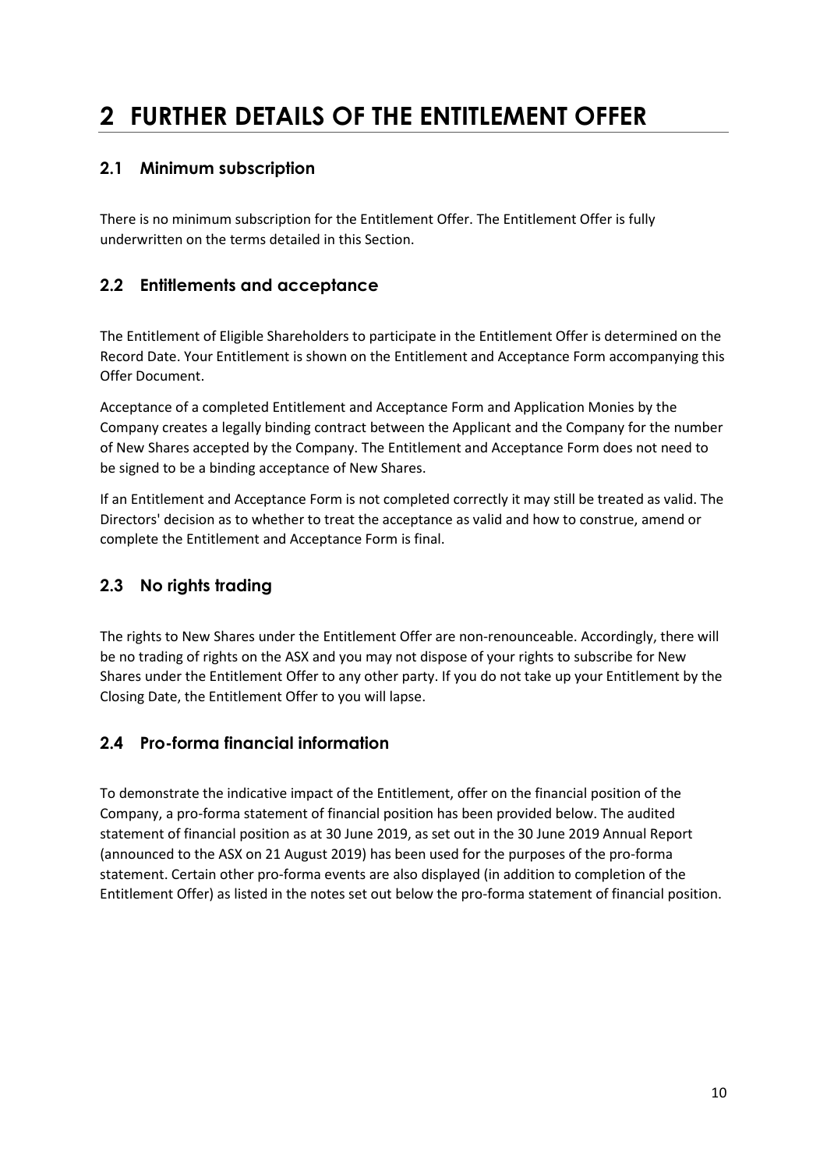# **2 FURTHER DETAILS OF THE ENTITLEMENT OFFER**

# **2.1 Minimum subscription**

There is no minimum subscription for the Entitlement Offer. The Entitlement Offer is fully underwritten on the terms detailed in this Section.

# **2.2 Entitlements and acceptance**

The Entitlement of Eligible Shareholders to participate in the Entitlement Offer is determined on the Record Date. Your Entitlement is shown on the Entitlement and Acceptance Form accompanying this Offer Document.

Acceptance of a completed Entitlement and Acceptance Form and Application Monies by the Company creates a legally binding contract between the Applicant and the Company for the number of New Shares accepted by the Company. The Entitlement and Acceptance Form does not need to be signed to be a binding acceptance of New Shares.

If an Entitlement and Acceptance Form is not completed correctly it may still be treated as valid. The Directors' decision as to whether to treat the acceptance as valid and how to construe, amend or complete the Entitlement and Acceptance Form is final.

# **2.3 No rights trading**

The rights to New Shares under the Entitlement Offer are non-renounceable. Accordingly, there will be no trading of rights on the ASX and you may not dispose of your rights to subscribe for New Shares under the Entitlement Offer to any other party. If you do not take up your Entitlement by the Closing Date, the Entitlement Offer to you will lapse.

# **2.4 Pro-forma financial information**

To demonstrate the indicative impact of the Entitlement, offer on the financial position of the Company, a pro-forma statement of financial position has been provided below. The audited statement of financial position as at 30 June 2019, as set out in the 30 June 2019 Annual Report (announced to the ASX on 21 August 2019) has been used for the purposes of the pro-forma statement. Certain other pro-forma events are also displayed (in addition to completion of the Entitlement Offer) as listed in the notes set out below the pro-forma statement of financial position.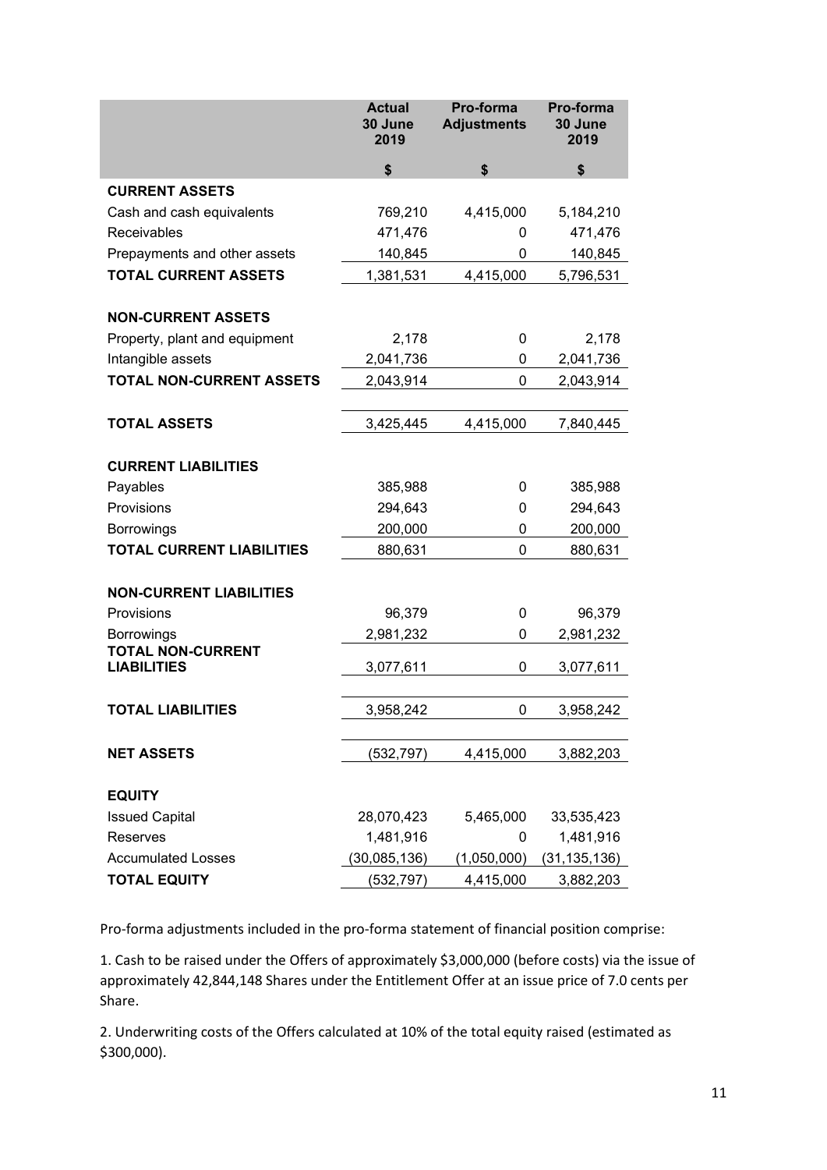|                                                | <b>Actual</b><br>30 June<br>2019 | Pro-forma<br><b>Adjustments</b> | Pro-forma<br>30 June<br>2019 |
|------------------------------------------------|----------------------------------|---------------------------------|------------------------------|
|                                                | \$                               | \$                              | \$                           |
| <b>CURRENT ASSETS</b>                          |                                  |                                 |                              |
| Cash and cash equivalents                      | 769,210                          | 4,415,000                       | 5,184,210                    |
| Receivables                                    | 471,476                          | 0                               | 471,476                      |
| Prepayments and other assets                   | 140,845                          | 0                               | 140,845                      |
| <b>TOTAL CURRENT ASSETS</b>                    | 1,381,531                        | 4,415,000                       | 5,796,531                    |
|                                                |                                  |                                 |                              |
| <b>NON-CURRENT ASSETS</b>                      |                                  |                                 |                              |
| Property, plant and equipment                  | 2,178                            | 0                               | 2,178                        |
| Intangible assets                              | 2,041,736                        | 0                               | 2,041,736                    |
| <b>TOTAL NON-CURRENT ASSETS</b>                | 2,043,914                        | 0                               | 2,043,914                    |
|                                                |                                  |                                 |                              |
| <b>TOTAL ASSETS</b>                            | 3,425,445                        | 4,415,000                       | 7,840,445                    |
| <b>CURRENT LIABILITIES</b>                     |                                  |                                 |                              |
| Payables                                       | 385,988                          | 0                               | 385,988                      |
| Provisions                                     | 294,643                          | 0                               | 294,643                      |
| <b>Borrowings</b>                              | 200,000                          | 0                               | 200,000                      |
| <b>TOTAL CURRENT LIABILITIES</b>               | 880,631                          | 0                               | 880,631                      |
|                                                |                                  |                                 |                              |
| <b>NON-CURRENT LIABILITIES</b>                 |                                  |                                 |                              |
| Provisions                                     | 96,379                           | 0                               | 96,379                       |
| <b>Borrowings</b>                              | 2,981,232                        | 0                               | 2,981,232                    |
| <b>TOTAL NON-CURRENT</b><br><b>LIABILITIES</b> | 3,077,611                        | 0                               | 3,077,611                    |
|                                                |                                  |                                 |                              |
| <b>TOTAL LIABILITIES</b>                       | 3,958,242                        | 0                               | 3,958,242                    |
|                                                |                                  |                                 |                              |
| <b>NET ASSETS</b>                              | (532,797)                        | 4,415,000                       | 3,882,203                    |
|                                                |                                  |                                 |                              |
| <b>EQUITY</b>                                  |                                  |                                 |                              |
| <b>Issued Capital</b>                          | 28,070,423                       | 5,465,000                       | 33,535,423                   |
| Reserves                                       | 1,481,916                        | 0                               | 1,481,916                    |
| <b>Accumulated Losses</b>                      | (30,085,136)                     | (1,050,000)                     | (31, 135, 136)               |
| <b>TOTAL EQUITY</b>                            | (532, 797)                       | 4,415,000                       | 3,882,203                    |

Pro-forma adjustments included in the pro-forma statement of financial position comprise:

1. Cash to be raised under the Offers of approximately \$3,000,000 (before costs) via the issue of approximately 42,844,148 Shares under the Entitlement Offer at an issue price of 7.0 cents per Share.

2. Underwriting costs of the Offers calculated at 10% of the total equity raised (estimated as \$300,000).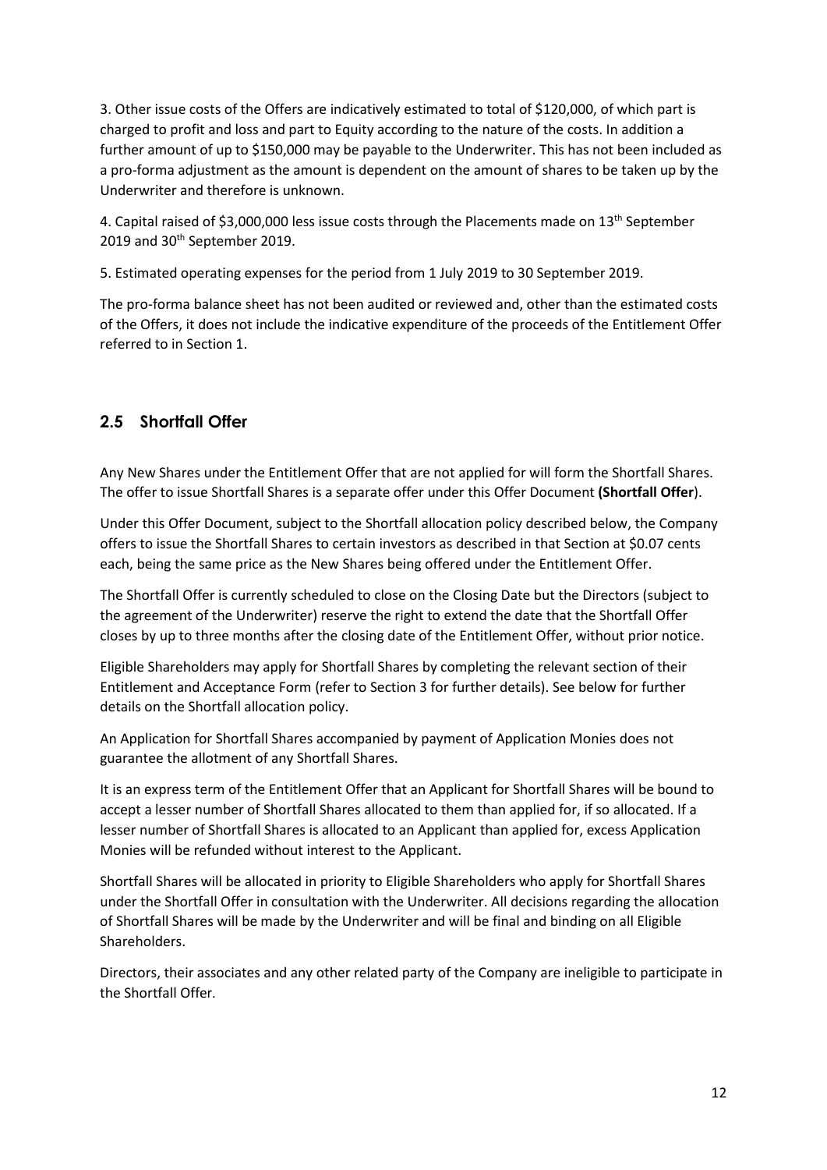3. Other issue costs of the Offers are indicatively estimated to total of \$120,000, of which part is charged to profit and loss and part to Equity according to the nature of the costs. In addition a further amount of up to \$150,000 may be payable to the Underwriter. This has not been included as a pro-forma adjustment as the amount is dependent on the amount of shares to be taken up by the Underwriter and therefore is unknown.

4. Capital raised of \$3,000,000 less issue costs through the Placements made on 13<sup>th</sup> September 2019 and 30<sup>th</sup> September 2019.

5. Estimated operating expenses for the period from 1 July 2019 to 30 September 2019.

The pro-forma balance sheet has not been audited or reviewed and, other than the estimated costs of the Offers, it does not include the indicative expenditure of the proceeds of the Entitlement Offer referred to in Section 1.

## **2.5 Shortfall Offer**

Any New Shares under the Entitlement Offer that are not applied for will form the Shortfall Shares. The offer to issue Shortfall Shares is a separate offer under this Offer Document **(Shortfall Offer**).

Under this Offer Document, subject to the Shortfall allocation policy described below, the Company offers to issue the Shortfall Shares to certain investors as described in that Section at \$0.07 cents each, being the same price as the New Shares being offered under the Entitlement Offer.

The Shortfall Offer is currently scheduled to close on the Closing Date but the Directors (subject to the agreement of the Underwriter) reserve the right to extend the date that the Shortfall Offer closes by up to three months after the closing date of the Entitlement Offer, without prior notice.

Eligible Shareholders may apply for Shortfall Shares by completing the relevant section of their Entitlement and Acceptance Form (refer to Section 3 for further details). See below for further details on the Shortfall allocation policy.

An Application for Shortfall Shares accompanied by payment of Application Monies does not guarantee the allotment of any Shortfall Shares.

It is an express term of the Entitlement Offer that an Applicant for Shortfall Shares will be bound to accept a lesser number of Shortfall Shares allocated to them than applied for, if so allocated. If a lesser number of Shortfall Shares is allocated to an Applicant than applied for, excess Application Monies will be refunded without interest to the Applicant.

Shortfall Shares will be allocated in priority to Eligible Shareholders who apply for Shortfall Shares under the Shortfall Offer in consultation with the Underwriter. All decisions regarding the allocation of Shortfall Shares will be made by the Underwriter and will be final and binding on all Eligible Shareholders.

Directors, their associates and any other related party of the Company are ineligible to participate in the Shortfall Offer.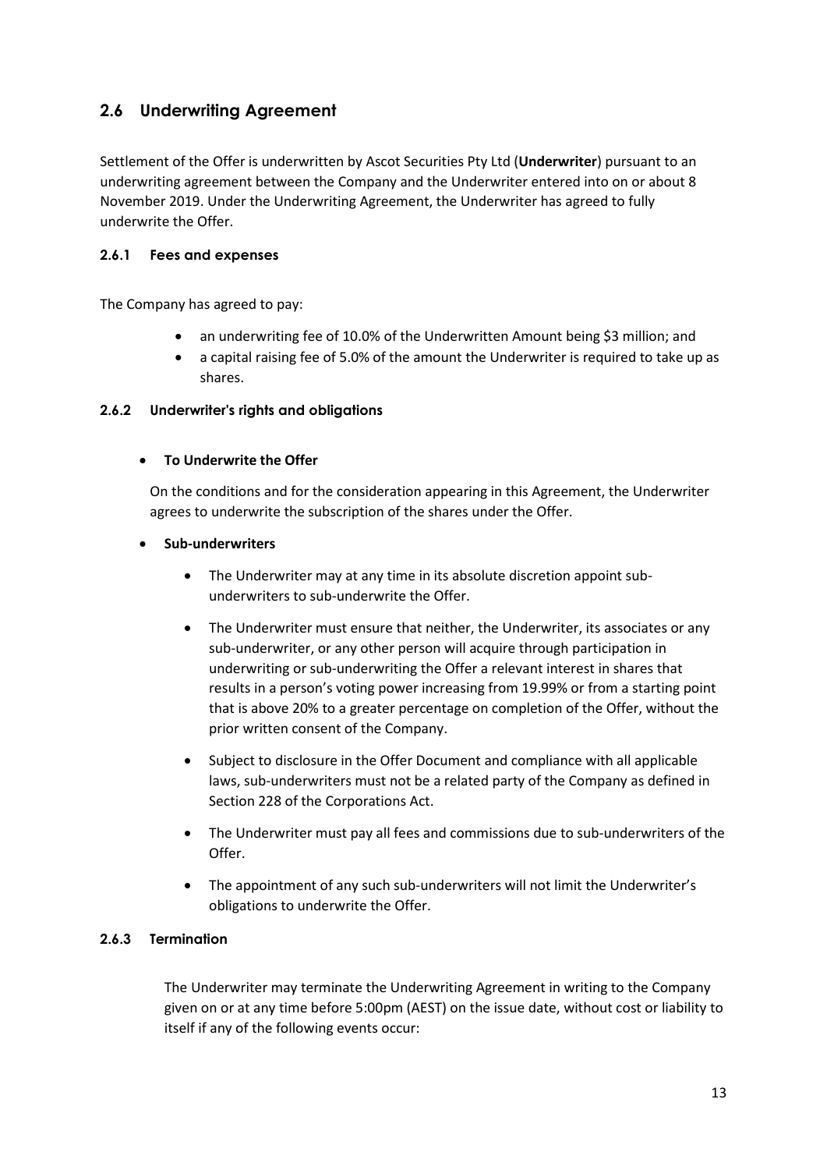## **2.6 Underwriting Agreement**

Settlement of the Offer is underwritten by Ascot Securities Pty Ltd (**Underwriter**) pursuant to an underwriting agreement between the Company and the Underwriter entered into on or about 8 November 2019. Under the Underwriting Agreement, the Underwriter has agreed to fully underwrite the Offer.

## **2.6.1 Fees and expenses**

The Company has agreed to pay:

- an underwriting fee of 10.0% of the Underwritten Amount being \$3 million; and
- a capital raising fee of 5.0% of the amount the Underwriter is required to take up as shares.

### **2.6.2 Underwriter's rights and obligations**

### • **To Underwrite the Offer**

On the conditions and for the consideration appearing in this Agreement, the Underwriter agrees to underwrite the subscription of the shares under the Offer.

### • **Sub-underwriters**

- The Underwriter may at any time in its absolute discretion appoint subunderwriters to sub-underwrite the Offer.
- The Underwriter must ensure that neither, the Underwriter, its associates or any sub-underwriter, or any other person will acquire through participation in underwriting or sub-underwriting the Offer a relevant interest in shares that results in a person's voting power increasing from 19.99% or from a starting point that is above 20% to a greater percentage on completion of the Offer, without the prior written consent of the Company.
- Subject to disclosure in the Offer Document and compliance with all applicable laws, sub-underwriters must not be a related party of the Company as defined in Section 228 of the Corporations Act.
- The Underwriter must pay all fees and commissions due to sub-underwriters of the Offer.
- The appointment of any such sub-underwriters will not limit the Underwriter's obligations to underwrite the Offer.

## **2.6.3 Termination**

The Underwriter may terminate the Underwriting Agreement in writing to the Company given on or at any time before 5:00pm (AEST) on the issue date, without cost or liability to itself if any of the following events occur: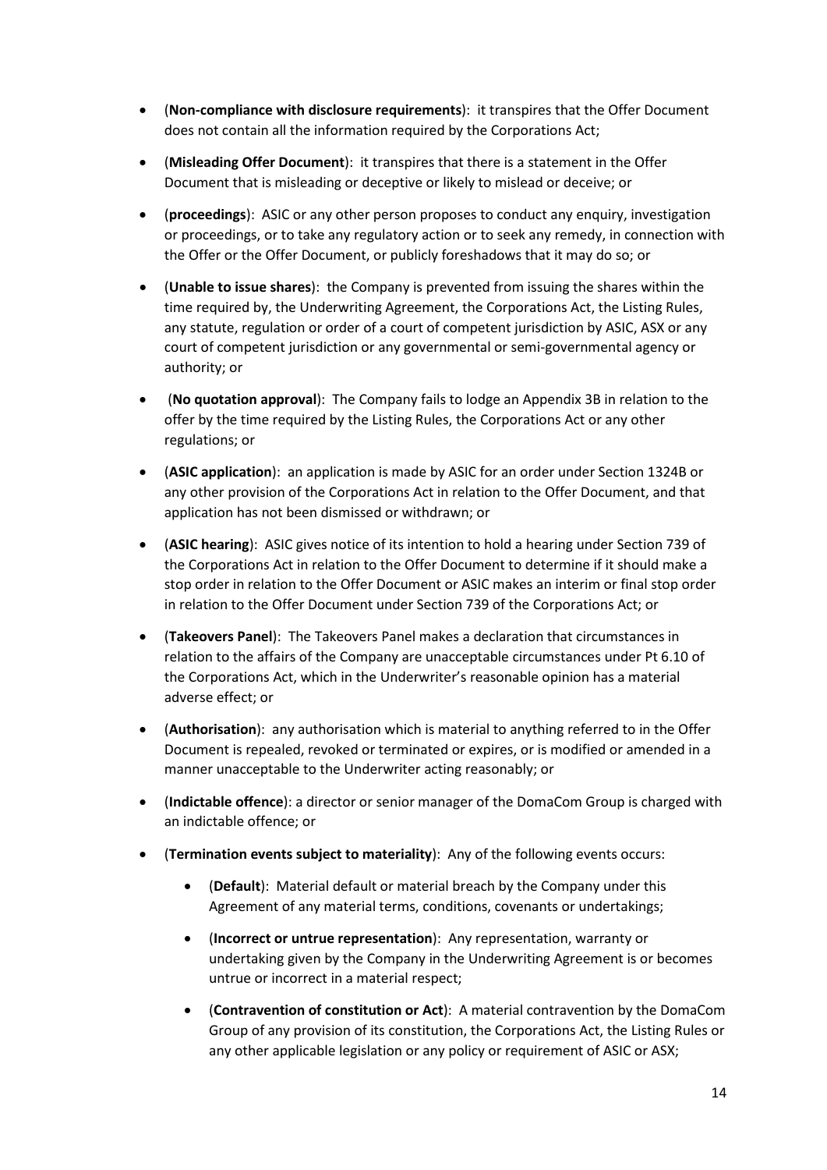- (**Non-compliance with disclosure requirements**): it transpires that the Offer Document does not contain all the information required by the Corporations Act;
- (**Misleading Offer Document**): it transpires that there is a statement in the Offer Document that is misleading or deceptive or likely to mislead or deceive; or
- (**proceedings**): ASIC or any other person proposes to conduct any enquiry, investigation or proceedings, or to take any regulatory action or to seek any remedy, in connection with the Offer or the Offer Document, or publicly foreshadows that it may do so; or
- (**Unable to issue shares**): the Company is prevented from issuing the shares within the time required by, the Underwriting Agreement, the Corporations Act, the Listing Rules, any statute, regulation or order of a court of competent jurisdiction by ASIC, ASX or any court of competent jurisdiction or any governmental or semi-governmental agency or authority; or
- (**No quotation approval**): The Company fails to lodge an Appendix 3B in relation to the offer by the time required by the Listing Rules, the Corporations Act or any other regulations; or
- (**ASIC application**): an application is made by ASIC for an order under Section 1324B or any other provision of the Corporations Act in relation to the Offer Document, and that application has not been dismissed or withdrawn; or
- (**ASIC hearing**): ASIC gives notice of its intention to hold a hearing under Section 739 of the Corporations Act in relation to the Offer Document to determine if it should make a stop order in relation to the Offer Document or ASIC makes an interim or final stop order in relation to the Offer Document under Section 739 of the Corporations Act; or
- (**Takeovers Panel**): The Takeovers Panel makes a declaration that circumstances in relation to the affairs of the Company are unacceptable circumstances under Pt 6.10 of the Corporations Act, which in the Underwriter's reasonable opinion has a material adverse effect; or
- (**Authorisation**): any authorisation which is material to anything referred to in the Offer Document is repealed, revoked or terminated or expires, or is modified or amended in a manner unacceptable to the Underwriter acting reasonably; or
- (**Indictable offence**): a director or senior manager of the DomaCom Group is charged with an indictable offence; or
- (**Termination events subject to materiality**): Any of the following events occurs:
	- (**Default**): Material default or material breach by the Company under this Agreement of any material terms, conditions, covenants or undertakings;
	- (**Incorrect or untrue representation**): Any representation, warranty or undertaking given by the Company in the Underwriting Agreement is or becomes untrue or incorrect in a material respect;
	- (**Contravention of constitution or Act**): A material contravention by the DomaCom Group of any provision of its constitution, the Corporations Act, the Listing Rules or any other applicable legislation or any policy or requirement of ASIC or ASX;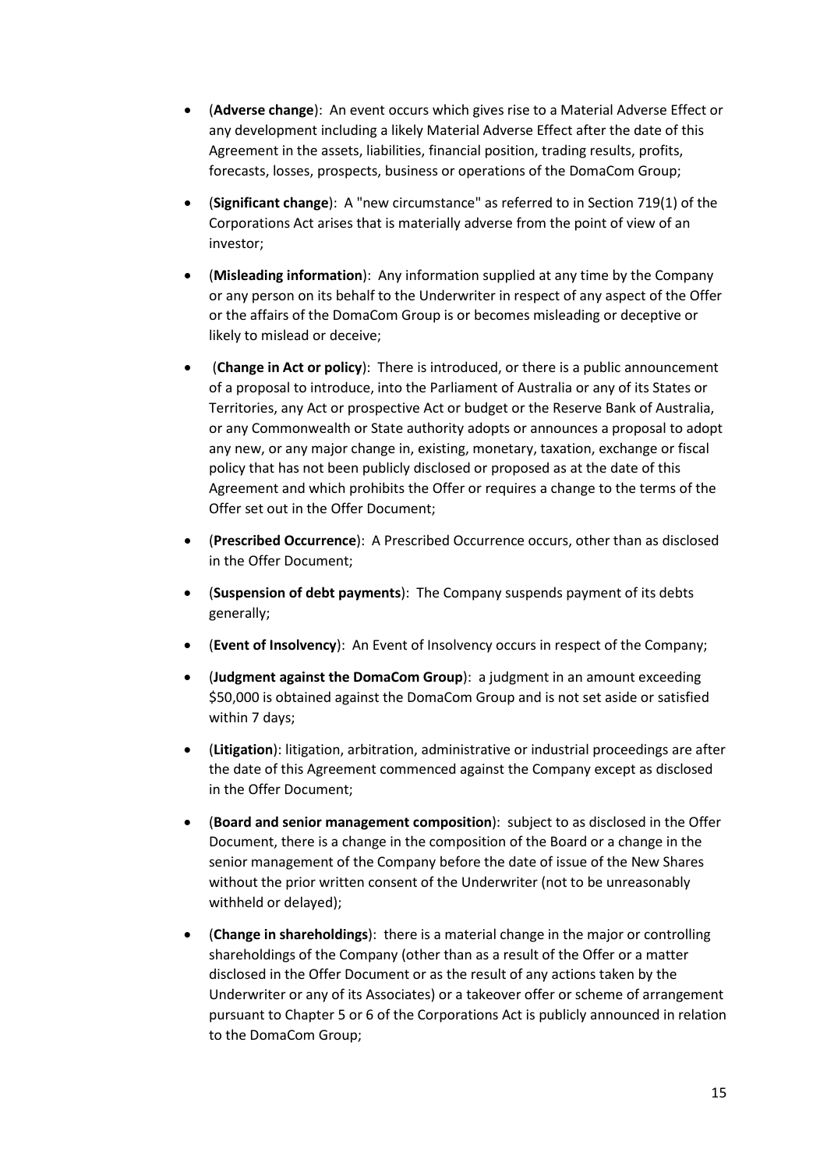- (**Adverse change**): An event occurs which gives rise to a Material Adverse Effect or any development including a likely Material Adverse Effect after the date of this Agreement in the assets, liabilities, financial position, trading results, profits, forecasts, losses, prospects, business or operations of the DomaCom Group;
- (**Significant change**): A "new circumstance" as referred to in Section 719(1) of the Corporations Act arises that is materially adverse from the point of view of an investor;
- (**Misleading information**): Any information supplied at any time by the Company or any person on its behalf to the Underwriter in respect of any aspect of the Offer or the affairs of the DomaCom Group is or becomes misleading or deceptive or likely to mislead or deceive;
- (**Change in Act or policy**): There is introduced, or there is a public announcement of a proposal to introduce, into the Parliament of Australia or any of its States or Territories, any Act or prospective Act or budget or the Reserve Bank of Australia, or any Commonwealth or State authority adopts or announces a proposal to adopt any new, or any major change in, existing, monetary, taxation, exchange or fiscal policy that has not been publicly disclosed or proposed as at the date of this Agreement and which prohibits the Offer or requires a change to the terms of the Offer set out in the Offer Document;
- (**Prescribed Occurrence**):A Prescribed Occurrence occurs, other than as disclosed in the Offer Document;
- (**Suspension of debt payments**): The Company suspends payment of its debts generally;
- (**Event of Insolvency**): An Event of Insolvency occurs in respect of the Company;
- (**Judgment against the DomaCom Group**): a judgment in an amount exceeding \$50,000 is obtained against the DomaCom Group and is not set aside or satisfied within 7 days;
- (**Litigation**): litigation, arbitration, administrative or industrial proceedings are after the date of this Agreement commenced against the Company except as disclosed in the Offer Document;
- (**Board and senior management composition**): subject to as disclosed in the Offer Document, there is a change in the composition of the Board or a change in the senior management of the Company before the date of issue of the New Shares without the prior written consent of the Underwriter (not to be unreasonably withheld or delayed);
- (**Change in shareholdings**): there is a material change in the major or controlling shareholdings of the Company (other than as a result of the Offer or a matter disclosed in the Offer Document or as the result of any actions taken by the Underwriter or any of its Associates) or a takeover offer or scheme of arrangement pursuant to Chapter 5 or 6 of the Corporations Act is publicly announced in relation to the DomaCom Group;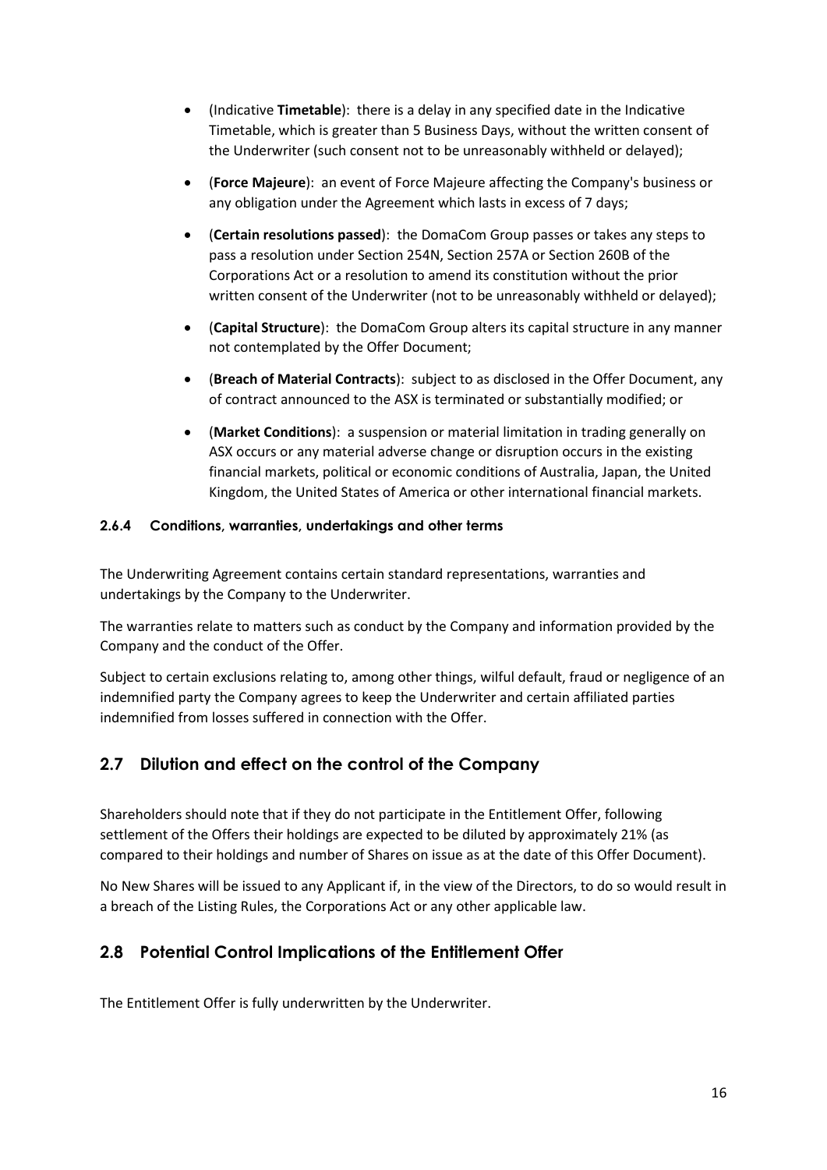- (Indicative **Timetable**): there is a delay in any specified date in the Indicative Timetable, which is greater than 5 Business Days, without the written consent of the Underwriter (such consent not to be unreasonably withheld or delayed);
- (**Force Majeure**): an event of Force Majeure affecting the Company's business or any obligation under the Agreement which lasts in excess of 7 days;
- (**Certain resolutions passed**): the DomaCom Group passes or takes any steps to pass a resolution under Section 254N, Section 257A or Section 260B of the Corporations Act or a resolution to amend its constitution without the prior written consent of the Underwriter (not to be unreasonably withheld or delayed);
- (**Capital Structure**): the DomaCom Group alters its capital structure in any manner not contemplated by the Offer Document;
- (**Breach of Material Contracts**): subject to as disclosed in the Offer Document, any of contract announced to the ASX is terminated or substantially modified; or
- (**Market Conditions**): a suspension or material limitation in trading generally on ASX occurs or any material adverse change or disruption occurs in the existing financial markets, political or economic conditions of Australia, Japan, the United Kingdom, the United States of America or other international financial markets.

## **2.6.4 Conditions, warranties, undertakings and other terms**

The Underwriting Agreement contains certain standard representations, warranties and undertakings by the Company to the Underwriter.

The warranties relate to matters such as conduct by the Company and information provided by the Company and the conduct of the Offer.

Subject to certain exclusions relating to, among other things, wilful default, fraud or negligence of an indemnified party the Company agrees to keep the Underwriter and certain affiliated parties indemnified from losses suffered in connection with the Offer.

## **2.7 Dilution and effect on the control of the Company**

Shareholders should note that if they do not participate in the Entitlement Offer, following settlement of the Offers their holdings are expected to be diluted by approximately 21% (as compared to their holdings and number of Shares on issue as at the date of this Offer Document).

No New Shares will be issued to any Applicant if, in the view of the Directors, to do so would result in a breach of the Listing Rules, the Corporations Act or any other applicable law.

## **2.8 Potential Control Implications of the Entitlement Offer**

The Entitlement Offer is fully underwritten by the Underwriter.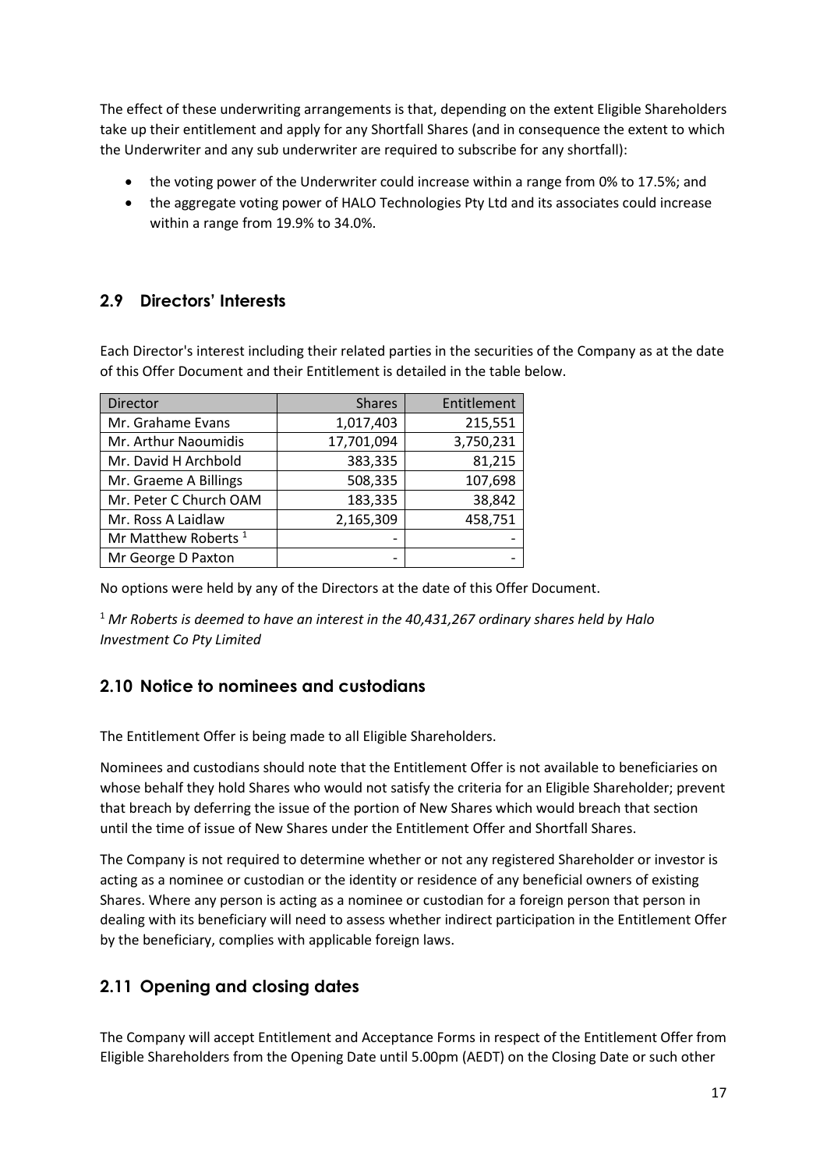The effect of these underwriting arrangements is that, depending on the extent Eligible Shareholders take up their entitlement and apply for any Shortfall Shares (and in consequence the extent to which the Underwriter and any sub underwriter are required to subscribe for any shortfall):

- the voting power of the Underwriter could increase within a range from 0% to 17.5%; and
- the aggregate voting power of HALO Technologies Pty Ltd and its associates could increase within a range from 19.9% to 34.0%.

## **2.9 Directors' Interests**

Each Director's interest including their related parties in the securities of the Company as at the date of this Offer Document and their Entitlement is detailed in the table below.

| Director                        | <b>Shares</b> | Entitlement |
|---------------------------------|---------------|-------------|
| Mr. Grahame Evans               | 1,017,403     | 215,551     |
| Mr. Arthur Naoumidis            | 17,701,094    | 3,750,231   |
| Mr. David H Archbold            | 383,335       | 81,215      |
| Mr. Graeme A Billings           | 508,335       | 107,698     |
| Mr. Peter C Church OAM          | 183,335       | 38,842      |
| Mr. Ross A Laidlaw              | 2,165,309     | 458,751     |
| Mr Matthew Roberts <sup>1</sup> |               |             |
| Mr George D Paxton              |               |             |

No options were held by any of the Directors at the date of this Offer Document.

<sup>1</sup> *Mr Roberts is deemed to have an interest in the 40,431,267 ordinary shares held by Halo Investment Co Pty Limited*

## **2.10 Notice to nominees and custodians**

The Entitlement Offer is being made to all Eligible Shareholders.

Nominees and custodians should note that the Entitlement Offer is not available to beneficiaries on whose behalf they hold Shares who would not satisfy the criteria for an Eligible Shareholder; prevent that breach by deferring the issue of the portion of New Shares which would breach that section until the time of issue of New Shares under the Entitlement Offer and Shortfall Shares.

The Company is not required to determine whether or not any registered Shareholder or investor is acting as a nominee or custodian or the identity or residence of any beneficial owners of existing Shares. Where any person is acting as a nominee or custodian for a foreign person that person in dealing with its beneficiary will need to assess whether indirect participation in the Entitlement Offer by the beneficiary, complies with applicable foreign laws.

# **2.11 Opening and closing dates**

The Company will accept Entitlement and Acceptance Forms in respect of the Entitlement Offer from Eligible Shareholders from the Opening Date until 5.00pm (AEDT) on the Closing Date or such other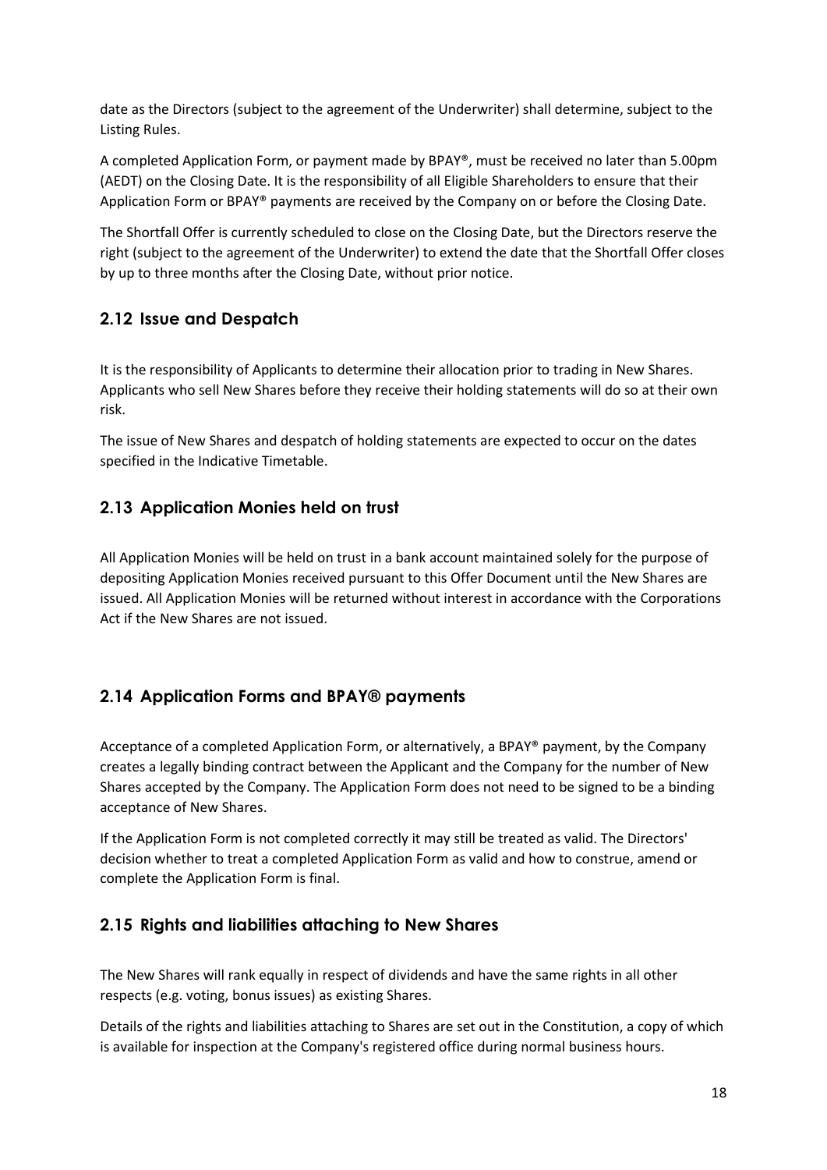date as the Directors (subject to the agreement of the Underwriter) shall determine, subject to the Listing Rules.

A completed Application Form, or payment made by BPAY®, must be received no later than 5.00pm (AEDT) on the Closing Date. It is the responsibility of all Eligible Shareholders to ensure that their Application Form or BPAY® payments are received by the Company on or before the Closing Date.

The Shortfall Offer is currently scheduled to close on the Closing Date, but the Directors reserve the right (subject to the agreement of the Underwriter) to extend the date that the Shortfall Offer closes by up to three months after the Closing Date, without prior notice.

## **2.12 Issue and Despatch**

It is the responsibility of Applicants to determine their allocation prior to trading in New Shares. Applicants who sell New Shares before they receive their holding statements will do so at their own risk.

The issue of New Shares and despatch of holding statements are expected to occur on the dates specified in the Indicative Timetable.

## **2.13 Application Monies held on trust**

All Application Monies will be held on trust in a bank account maintained solely for the purpose of depositing Application Monies received pursuant to this Offer Document until the New Shares are issued. All Application Monies will be returned without interest in accordance with the Corporations Act if the New Shares are not issued.

# **2.14 Application Forms and BPAY® payments**

Acceptance of a completed Application Form, or alternatively, a BPAY® payment, by the Company creates a legally binding contract between the Applicant and the Company for the number of New Shares accepted by the Company. The Application Form does not need to be signed to be a binding acceptance of New Shares.

If the Application Form is not completed correctly it may still be treated as valid. The Directors' decision whether to treat a completed Application Form as valid and how to construe, amend or complete the Application Form is final.

## **2.15 Rights and liabilities attaching to New Shares**

The New Shares will rank equally in respect of dividends and have the same rights in all other respects (e.g. voting, bonus issues) as existing Shares.

Details of the rights and liabilities attaching to Shares are set out in the Constitution, a copy of which is available for inspection at the Company's registered office during normal business hours.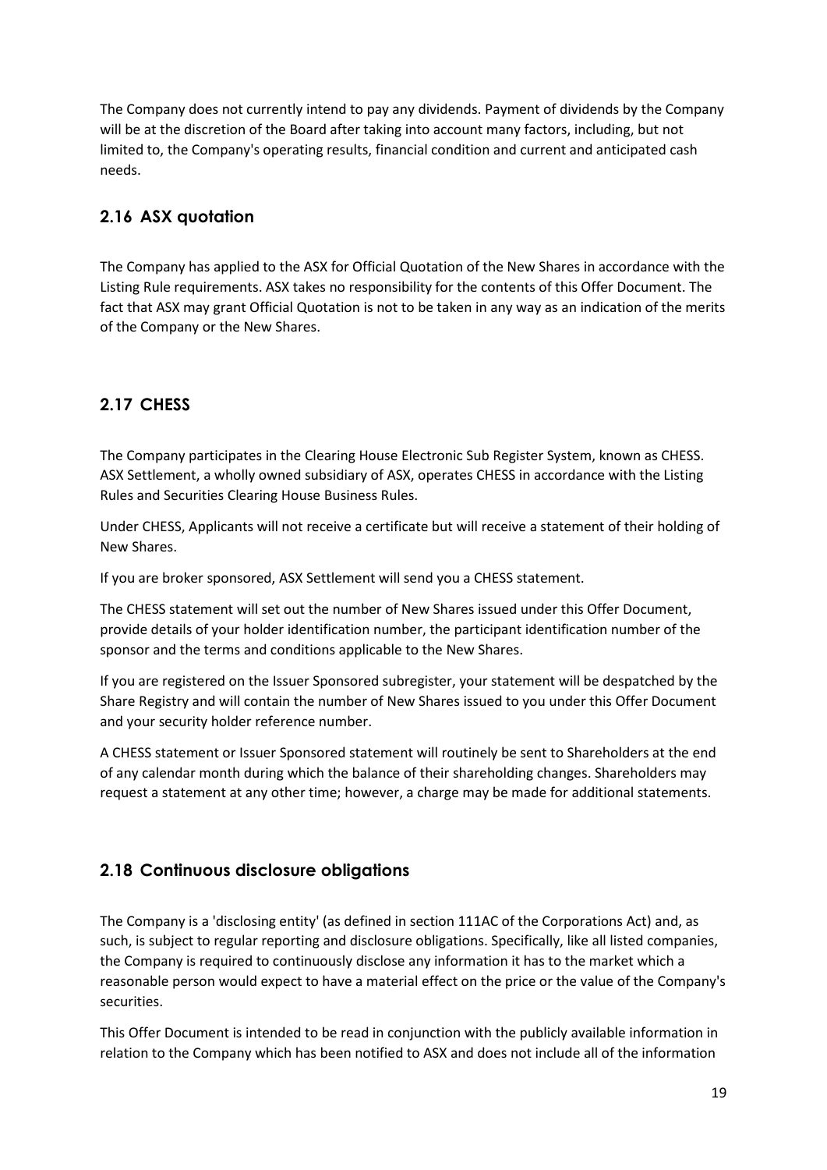The Company does not currently intend to pay any dividends. Payment of dividends by the Company will be at the discretion of the Board after taking into account many factors, including, but not limited to, the Company's operating results, financial condition and current and anticipated cash needs.

# **2.16 ASX quotation**

The Company has applied to the ASX for Official Quotation of the New Shares in accordance with the Listing Rule requirements. ASX takes no responsibility for the contents of this Offer Document. The fact that ASX may grant Official Quotation is not to be taken in any way as an indication of the merits of the Company or the New Shares.

# **2.17 CHESS**

The Company participates in the Clearing House Electronic Sub Register System, known as CHESS. ASX Settlement, a wholly owned subsidiary of ASX, operates CHESS in accordance with the Listing Rules and Securities Clearing House Business Rules.

Under CHESS, Applicants will not receive a certificate but will receive a statement of their holding of New Shares.

If you are broker sponsored, ASX Settlement will send you a CHESS statement.

The CHESS statement will set out the number of New Shares issued under this Offer Document, provide details of your holder identification number, the participant identification number of the sponsor and the terms and conditions applicable to the New Shares.

If you are registered on the Issuer Sponsored subregister, your statement will be despatched by the Share Registry and will contain the number of New Shares issued to you under this Offer Document and your security holder reference number.

A CHESS statement or Issuer Sponsored statement will routinely be sent to Shareholders at the end of any calendar month during which the balance of their shareholding changes. Shareholders may request a statement at any other time; however, a charge may be made for additional statements.

## **2.18 Continuous disclosure obligations**

The Company is a 'disclosing entity' (as defined in section 111AC of the Corporations Act) and, as such, is subject to regular reporting and disclosure obligations. Specifically, like all listed companies, the Company is required to continuously disclose any information it has to the market which a reasonable person would expect to have a material effect on the price or the value of the Company's securities.

This Offer Document is intended to be read in conjunction with the publicly available information in relation to the Company which has been notified to ASX and does not include all of the information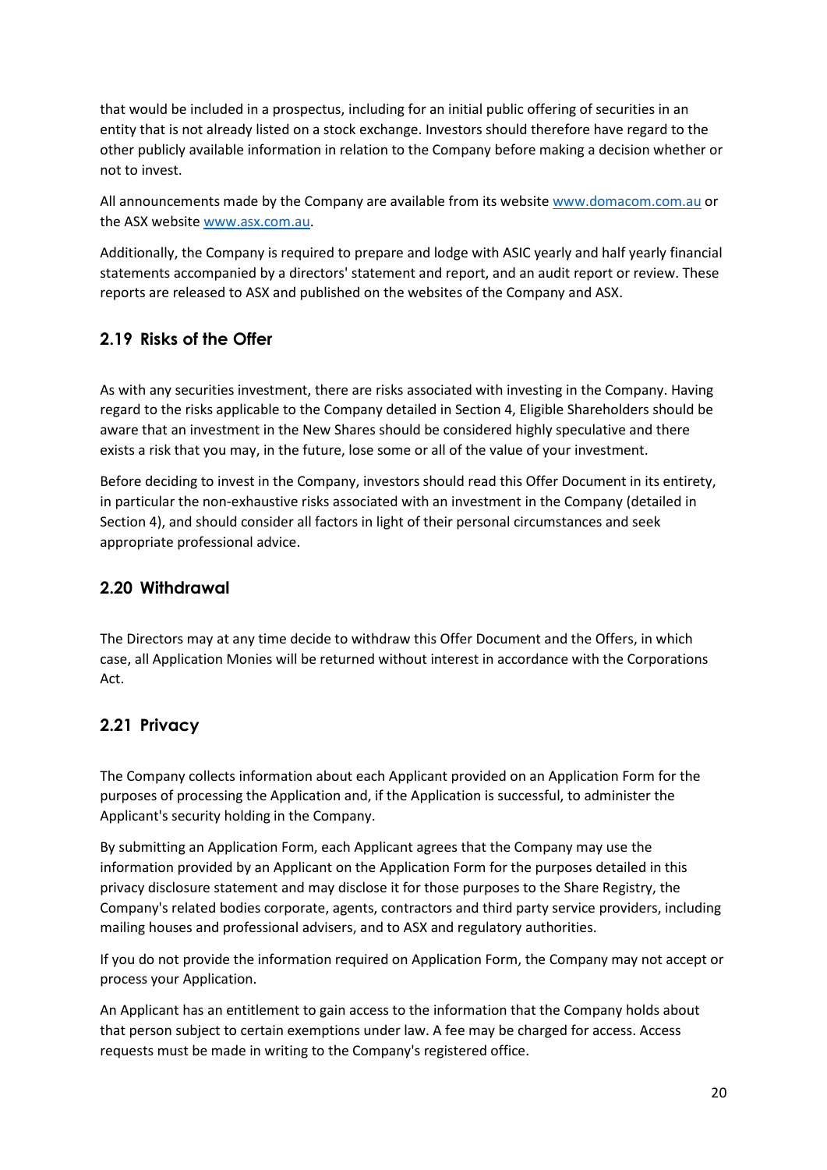that would be included in a prospectus, including for an initial public offering of securities in an entity that is not already listed on a stock exchange. Investors should therefore have regard to the other publicly available information in relation to the Company before making a decision whether or not to invest.

All announcements made by the Company are available from its website [www.domacom.com.au](http://www.domacom.com.au/) or the ASX websit[e www.asx.com.au.](http://www.asx.com.au/)

Additionally, the Company is required to prepare and lodge with ASIC yearly and half yearly financial statements accompanied by a directors' statement and report, and an audit report or review. These reports are released to ASX and published on the websites of the Company and ASX.

## **2.19 Risks of the Offer**

As with any securities investment, there are risks associated with investing in the Company. Having regard to the risks applicable to the Company detailed in Section 4, Eligible Shareholders should be aware that an investment in the New Shares should be considered highly speculative and there exists a risk that you may, in the future, lose some or all of the value of your investment.

Before deciding to invest in the Company, investors should read this Offer Document in its entirety, in particular the non-exhaustive risks associated with an investment in the Company (detailed in Section 4), and should consider all factors in light of their personal circumstances and seek appropriate professional advice.

## **2.20 Withdrawal**

The Directors may at any time decide to withdraw this Offer Document and the Offers, in which case, all Application Monies will be returned without interest in accordance with the Corporations Act.

## **2.21 Privacy**

The Company collects information about each Applicant provided on an Application Form for the purposes of processing the Application and, if the Application is successful, to administer the Applicant's security holding in the Company.

By submitting an Application Form, each Applicant agrees that the Company may use the information provided by an Applicant on the Application Form for the purposes detailed in this privacy disclosure statement and may disclose it for those purposes to the Share Registry, the Company's related bodies corporate, agents, contractors and third party service providers, including mailing houses and professional advisers, and to ASX and regulatory authorities.

If you do not provide the information required on Application Form, the Company may not accept or process your Application.

An Applicant has an entitlement to gain access to the information that the Company holds about that person subject to certain exemptions under law. A fee may be charged for access. Access requests must be made in writing to the Company's registered office.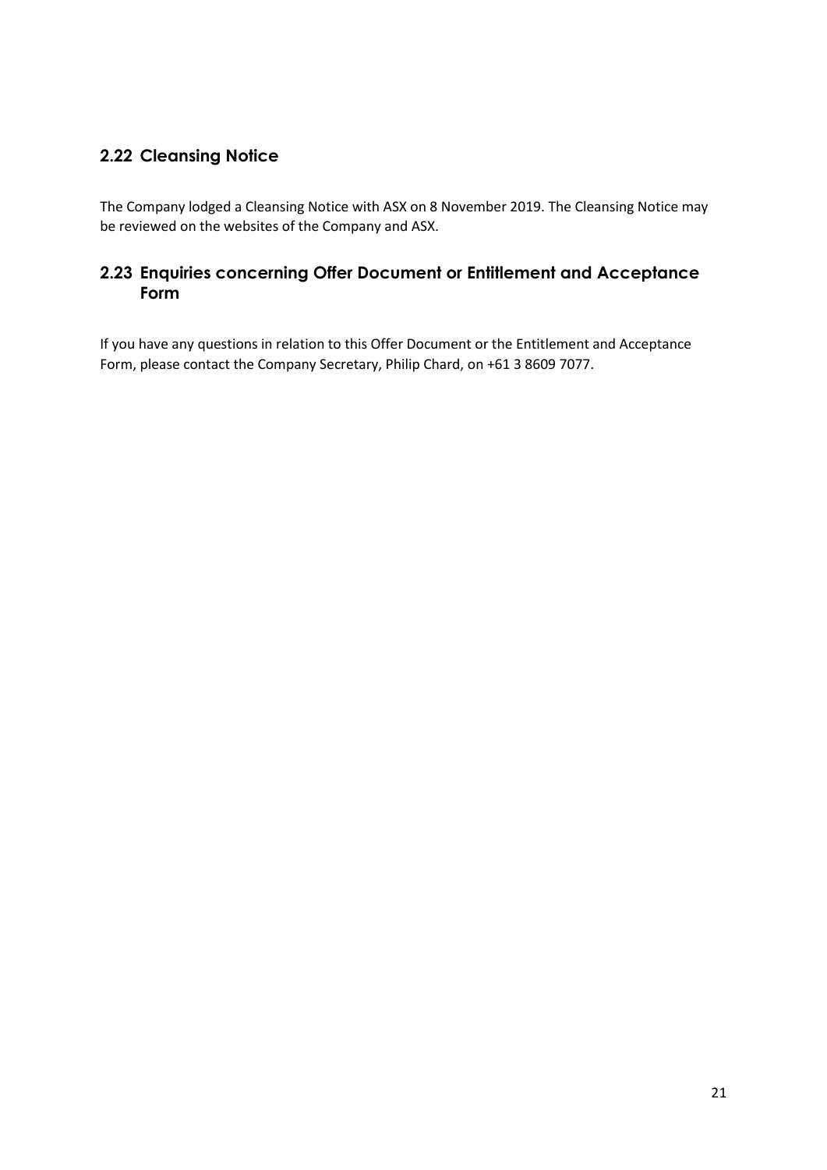# **2.22 Cleansing Notice**

The Company lodged a Cleansing Notice with ASX on 8 November 2019. The Cleansing Notice may be reviewed on the websites of the Company and ASX.

## **2.23 Enquiries concerning Offer Document or Entitlement and Acceptance Form**

If you have any questions in relation to this Offer Document or the Entitlement and Acceptance Form, please contact the Company Secretary, Philip Chard, on +61 3 8609 7077.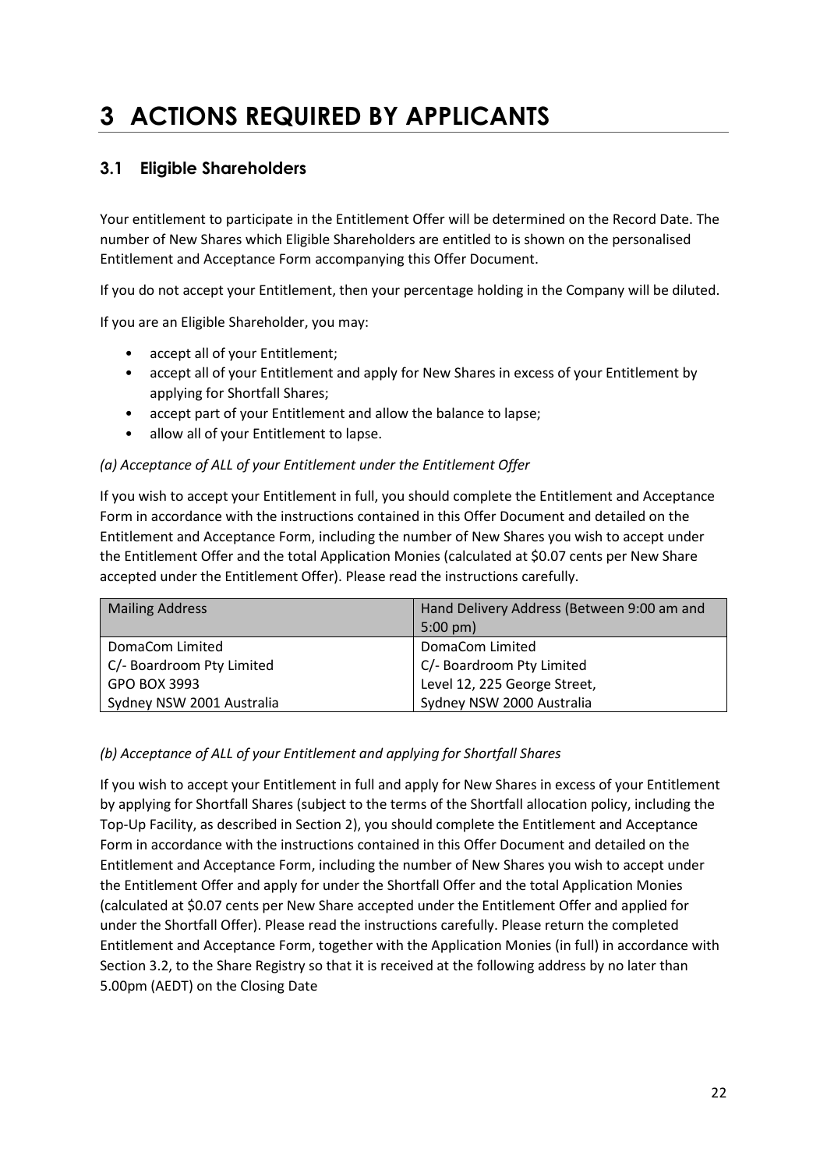# **3 ACTIONS REQUIRED BY APPLICANTS**

# **3.1 Eligible Shareholders**

Your entitlement to participate in the Entitlement Offer will be determined on the Record Date. The number of New Shares which Eligible Shareholders are entitled to is shown on the personalised Entitlement and Acceptance Form accompanying this Offer Document.

If you do not accept your Entitlement, then your percentage holding in the Company will be diluted.

If you are an Eligible Shareholder, you may:

- accept all of your Entitlement;
- accept all of your Entitlement and apply for New Shares in excess of your Entitlement by applying for Shortfall Shares;
- accept part of your Entitlement and allow the balance to lapse;
- allow all of your Entitlement to lapse.

## *(a) Acceptance of ALL of your Entitlement under the Entitlement Offer*

If you wish to accept your Entitlement in full, you should complete the Entitlement and Acceptance Form in accordance with the instructions contained in this Offer Document and detailed on the Entitlement and Acceptance Form, including the number of New Shares you wish to accept under the Entitlement Offer and the total Application Monies (calculated at \$0.07 cents per New Share accepted under the Entitlement Offer). Please read the instructions carefully.

| <b>Mailing Address</b>    | Hand Delivery Address (Between 9:00 am and |  |
|---------------------------|--------------------------------------------|--|
|                           | $5:00 \text{ pm}$                          |  |
| DomaCom Limited           | DomaCom Limited                            |  |
| C/- Boardroom Pty Limited | C/- Boardroom Pty Limited                  |  |
| GPO BOX 3993              | Level 12, 225 George Street,               |  |
| Sydney NSW 2001 Australia | Sydney NSW 2000 Australia                  |  |

## *(b) Acceptance of ALL of your Entitlement and applying for Shortfall Shares*

If you wish to accept your Entitlement in full and apply for New Shares in excess of your Entitlement by applying for Shortfall Shares (subject to the terms of the Shortfall allocation policy, including the Top-Up Facility, as described in Section 2), you should complete the Entitlement and Acceptance Form in accordance with the instructions contained in this Offer Document and detailed on the Entitlement and Acceptance Form, including the number of New Shares you wish to accept under the Entitlement Offer and apply for under the Shortfall Offer and the total Application Monies (calculated at \$0.07 cents per New Share accepted under the Entitlement Offer and applied for under the Shortfall Offer). Please read the instructions carefully. Please return the completed Entitlement and Acceptance Form, together with the Application Monies (in full) in accordance with Section 3.2, to the Share Registry so that it is received at the following address by no later than 5.00pm (AEDT) on the Closing Date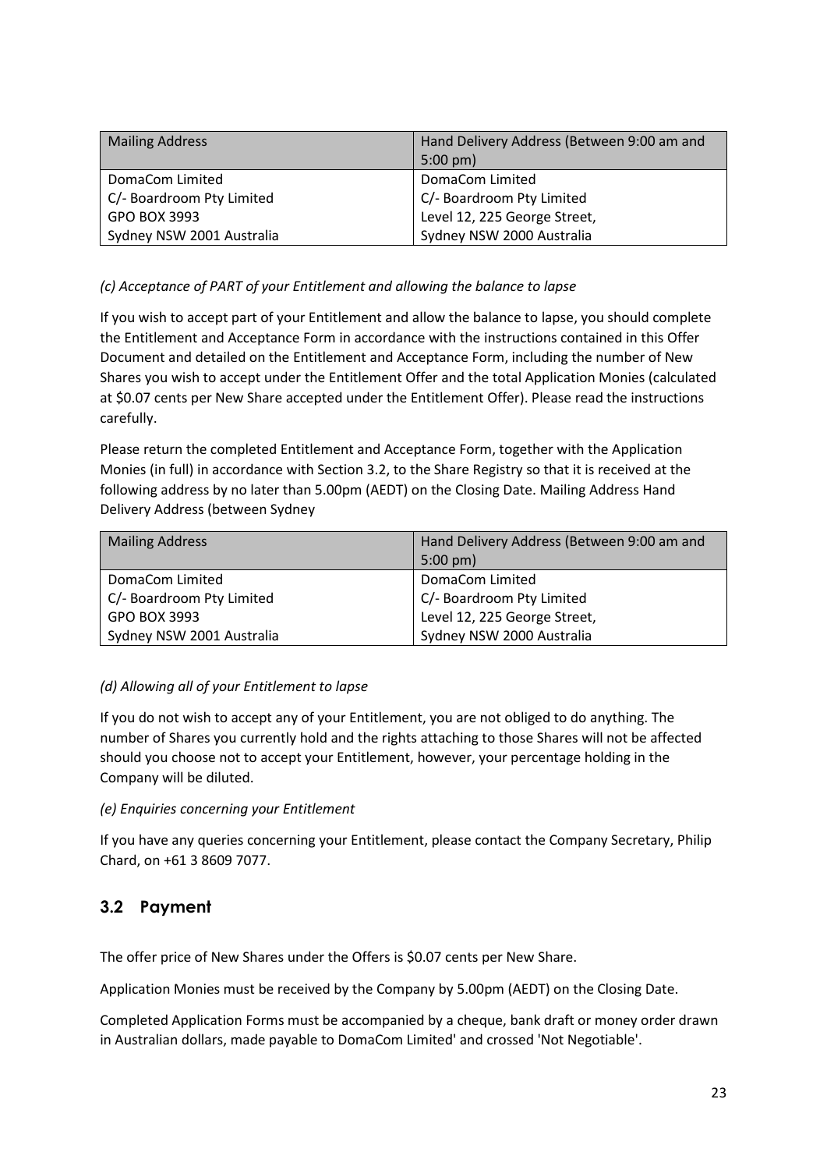| <b>Mailing Address</b>    | Hand Delivery Address (Between 9:00 am and<br>$5:00 \text{ pm}$ |
|---------------------------|-----------------------------------------------------------------|
| DomaCom Limited           | DomaCom Limited                                                 |
| C/- Boardroom Pty Limited | C/- Boardroom Pty Limited                                       |
| GPO BOX 3993              | Level 12, 225 George Street,                                    |
| Sydney NSW 2001 Australia | Sydney NSW 2000 Australia                                       |

## *(c) Acceptance of PART of your Entitlement and allowing the balance to lapse*

If you wish to accept part of your Entitlement and allow the balance to lapse, you should complete the Entitlement and Acceptance Form in accordance with the instructions contained in this Offer Document and detailed on the Entitlement and Acceptance Form, including the number of New Shares you wish to accept under the Entitlement Offer and the total Application Monies (calculated at \$0.07 cents per New Share accepted under the Entitlement Offer). Please read the instructions carefully.

Please return the completed Entitlement and Acceptance Form, together with the Application Monies (in full) in accordance with Section 3.2, to the Share Registry so that it is received at the following address by no later than 5.00pm (AEDT) on the Closing Date. Mailing Address Hand Delivery Address (between Sydney

| <b>Mailing Address</b>    | Hand Delivery Address (Between 9:00 am and<br>$5:00 \text{ pm}$ |
|---------------------------|-----------------------------------------------------------------|
| DomaCom Limited           | DomaCom Limited                                                 |
| C/- Boardroom Pty Limited | C/- Boardroom Pty Limited                                       |
| GPO BOX 3993              | Level 12, 225 George Street,                                    |
| Sydney NSW 2001 Australia | Sydney NSW 2000 Australia                                       |

## *(d) Allowing all of your Entitlement to lapse*

If you do not wish to accept any of your Entitlement, you are not obliged to do anything. The number of Shares you currently hold and the rights attaching to those Shares will not be affected should you choose not to accept your Entitlement, however, your percentage holding in the Company will be diluted.

## *(e) Enquiries concerning your Entitlement*

If you have any queries concerning your Entitlement, please contact the Company Secretary, Philip Chard, on +61 3 8609 7077.

## **3.2 Payment**

The offer price of New Shares under the Offers is \$0.07 cents per New Share.

Application Monies must be received by the Company by 5.00pm (AEDT) on the Closing Date.

Completed Application Forms must be accompanied by a cheque, bank draft or money order drawn in Australian dollars, made payable to DomaCom Limited' and crossed 'Not Negotiable'.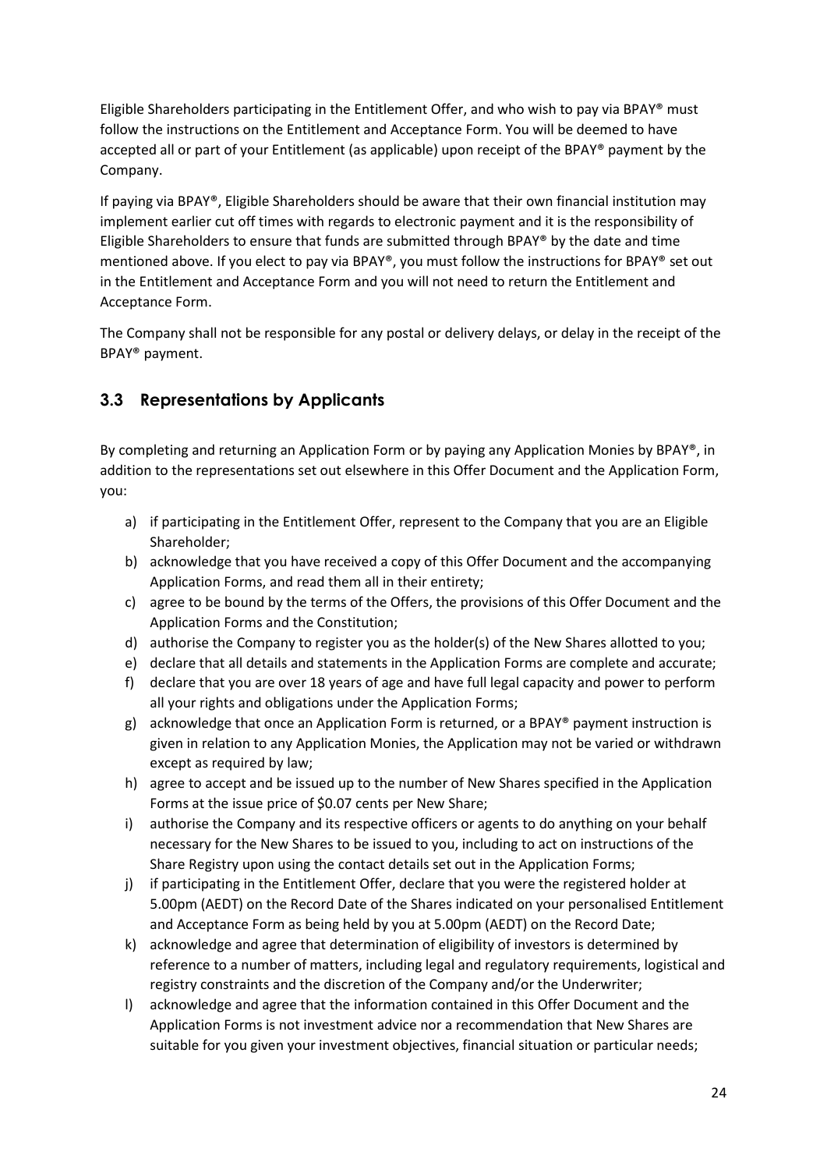Eligible Shareholders participating in the Entitlement Offer, and who wish to pay via BPAY® must follow the instructions on the Entitlement and Acceptance Form. You will be deemed to have accepted all or part of your Entitlement (as applicable) upon receipt of the BPAY® payment by the Company.

If paying via BPAY®, Eligible Shareholders should be aware that their own financial institution may implement earlier cut off times with regards to electronic payment and it is the responsibility of Eligible Shareholders to ensure that funds are submitted through BPAY® by the date and time mentioned above. If you elect to pay via BPAY®, you must follow the instructions for BPAY® set out in the Entitlement and Acceptance Form and you will not need to return the Entitlement and Acceptance Form.

The Company shall not be responsible for any postal or delivery delays, or delay in the receipt of the BPAY® payment.

# **3.3 Representations by Applicants**

By completing and returning an Application Form or by paying any Application Monies by BPAY®, in addition to the representations set out elsewhere in this Offer Document and the Application Form, you:

- a) if participating in the Entitlement Offer, represent to the Company that you are an Eligible Shareholder;
- b) acknowledge that you have received a copy of this Offer Document and the accompanying Application Forms, and read them all in their entirety;
- c) agree to be bound by the terms of the Offers, the provisions of this Offer Document and the Application Forms and the Constitution;
- d) authorise the Company to register you as the holder(s) of the New Shares allotted to you;
- e) declare that all details and statements in the Application Forms are complete and accurate;
- f) declare that you are over 18 years of age and have full legal capacity and power to perform all your rights and obligations under the Application Forms;
- g) acknowledge that once an Application Form is returned, or a BPAY® payment instruction is given in relation to any Application Monies, the Application may not be varied or withdrawn except as required by law;
- h) agree to accept and be issued up to the number of New Shares specified in the Application Forms at the issue price of \$0.07 cents per New Share;
- i) authorise the Company and its respective officers or agents to do anything on your behalf necessary for the New Shares to be issued to you, including to act on instructions of the Share Registry upon using the contact details set out in the Application Forms;
- j) if participating in the Entitlement Offer, declare that you were the registered holder at 5.00pm (AEDT) on the Record Date of the Shares indicated on your personalised Entitlement and Acceptance Form as being held by you at 5.00pm (AEDT) on the Record Date;
- k) acknowledge and agree that determination of eligibility of investors is determined by reference to a number of matters, including legal and regulatory requirements, logistical and registry constraints and the discretion of the Company and/or the Underwriter;
- l) acknowledge and agree that the information contained in this Offer Document and the Application Forms is not investment advice nor a recommendation that New Shares are suitable for you given your investment objectives, financial situation or particular needs;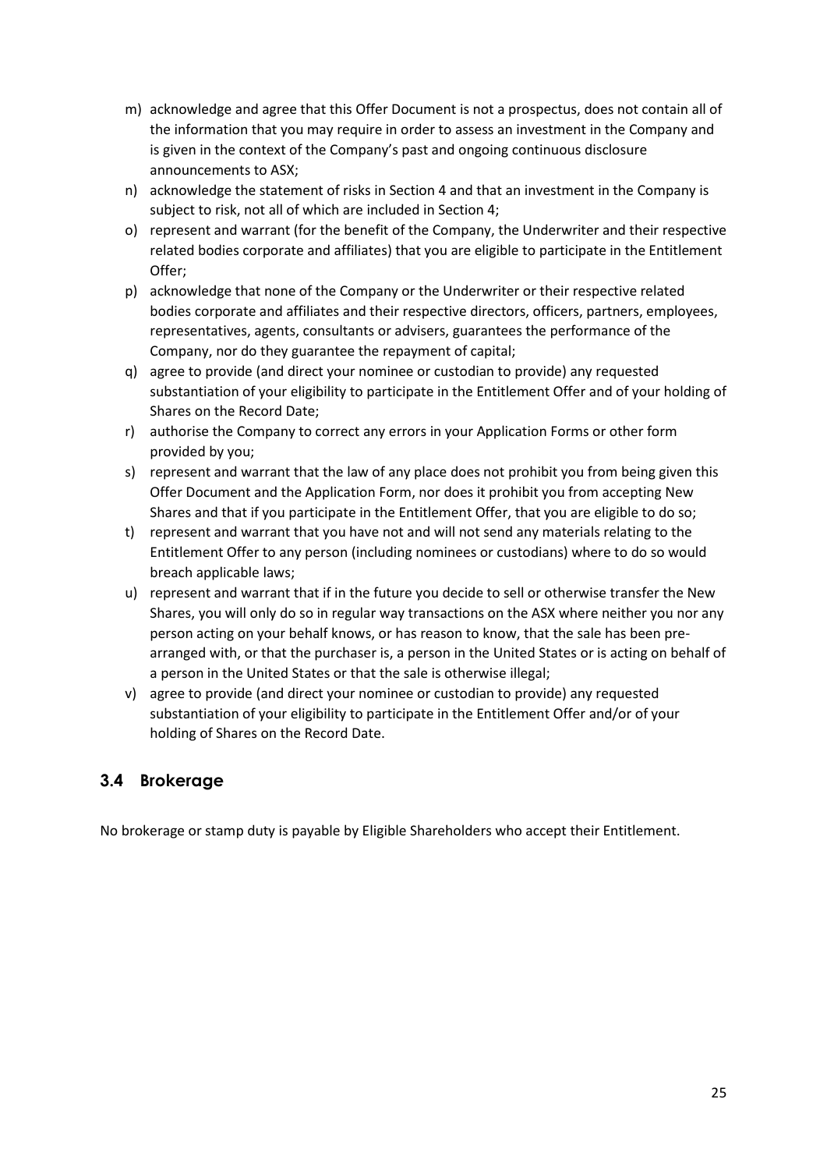- m) acknowledge and agree that this Offer Document is not a prospectus, does not contain all of the information that you may require in order to assess an investment in the Company and is given in the context of the Company's past and ongoing continuous disclosure announcements to ASX;
- n) acknowledge the statement of risks in Section 4 and that an investment in the Company is subject to risk, not all of which are included in Section 4;
- o) represent and warrant (for the benefit of the Company, the Underwriter and their respective related bodies corporate and affiliates) that you are eligible to participate in the Entitlement Offer;
- p) acknowledge that none of the Company or the Underwriter or their respective related bodies corporate and affiliates and their respective directors, officers, partners, employees, representatives, agents, consultants or advisers, guarantees the performance of the Company, nor do they guarantee the repayment of capital;
- q) agree to provide (and direct your nominee or custodian to provide) any requested substantiation of your eligibility to participate in the Entitlement Offer and of your holding of Shares on the Record Date;
- r) authorise the Company to correct any errors in your Application Forms or other form provided by you;
- s) represent and warrant that the law of any place does not prohibit you from being given this Offer Document and the Application Form, nor does it prohibit you from accepting New Shares and that if you participate in the Entitlement Offer, that you are eligible to do so;
- t) represent and warrant that you have not and will not send any materials relating to the Entitlement Offer to any person (including nominees or custodians) where to do so would breach applicable laws;
- u) represent and warrant that if in the future you decide to sell or otherwise transfer the New Shares, you will only do so in regular way transactions on the ASX where neither you nor any person acting on your behalf knows, or has reason to know, that the sale has been prearranged with, or that the purchaser is, a person in the United States or is acting on behalf of a person in the United States or that the sale is otherwise illegal;
- v) agree to provide (and direct your nominee or custodian to provide) any requested substantiation of your eligibility to participate in the Entitlement Offer and/or of your holding of Shares on the Record Date.

# **3.4 Brokerage**

No brokerage or stamp duty is payable by Eligible Shareholders who accept their Entitlement.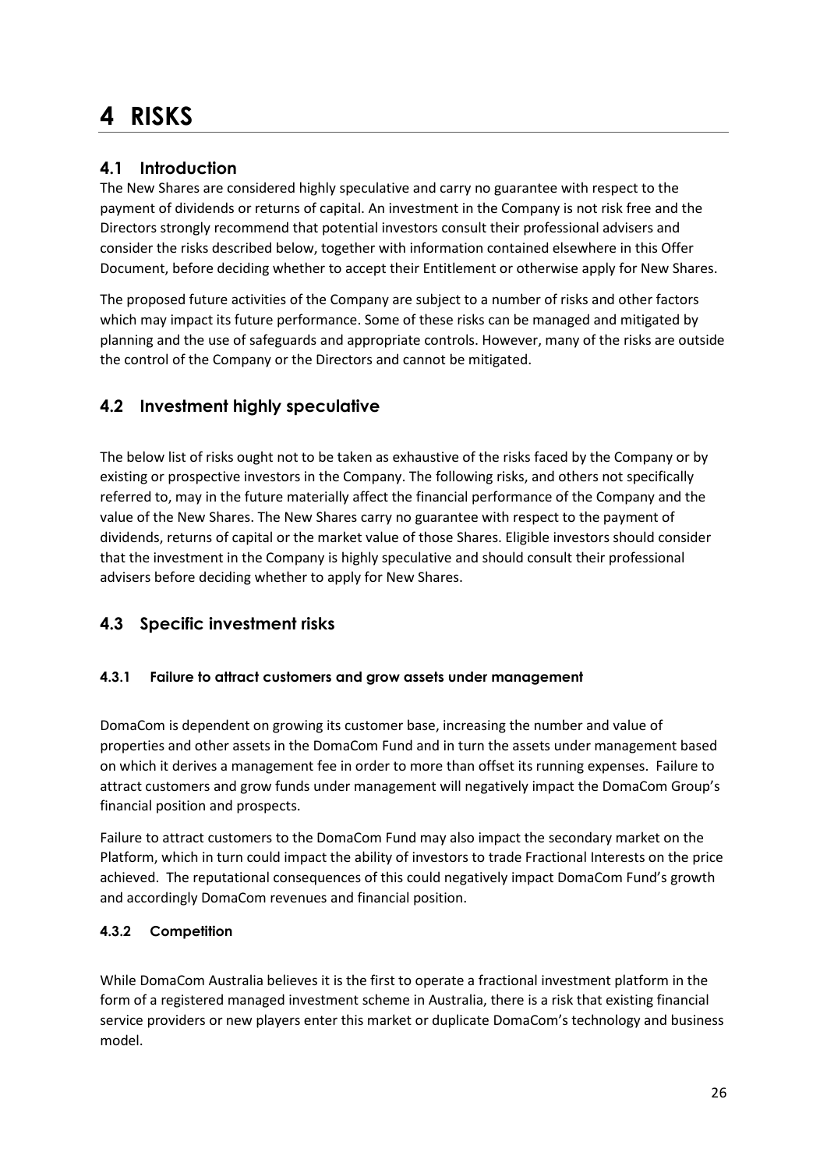# **4 RISKS**

# **4.1 Introduction**

The New Shares are considered highly speculative and carry no guarantee with respect to the payment of dividends or returns of capital. An investment in the Company is not risk free and the Directors strongly recommend that potential investors consult their professional advisers and consider the risks described below, together with information contained elsewhere in this Offer Document, before deciding whether to accept their Entitlement or otherwise apply for New Shares.

The proposed future activities of the Company are subject to a number of risks and other factors which may impact its future performance. Some of these risks can be managed and mitigated by planning and the use of safeguards and appropriate controls. However, many of the risks are outside the control of the Company or the Directors and cannot be mitigated.

# **4.2 Investment highly speculative**

The below list of risks ought not to be taken as exhaustive of the risks faced by the Company or by existing or prospective investors in the Company. The following risks, and others not specifically referred to, may in the future materially affect the financial performance of the Company and the value of the New Shares. The New Shares carry no guarantee with respect to the payment of dividends, returns of capital or the market value of those Shares. Eligible investors should consider that the investment in the Company is highly speculative and should consult their professional advisers before deciding whether to apply for New Shares.

# **4.3 Specific investment risks**

## **4.3.1 Failure to attract customers and grow assets under management**

DomaCom is dependent on growing its customer base, increasing the number and value of properties and other assets in the DomaCom Fund and in turn the assets under management based on which it derives a management fee in order to more than offset its running expenses. Failure to attract customers and grow funds under management will negatively impact the DomaCom Group's financial position and prospects.

Failure to attract customers to the DomaCom Fund may also impact the secondary market on the Platform, which in turn could impact the ability of investors to trade Fractional Interests on the price achieved. The reputational consequences of this could negatively impact DomaCom Fund's growth and accordingly DomaCom revenues and financial position.

## **4.3.2 Competition**

While DomaCom Australia believes it is the first to operate a fractional investment platform in the form of a registered managed investment scheme in Australia, there is a risk that existing financial service providers or new players enter this market or duplicate DomaCom's technology and business model.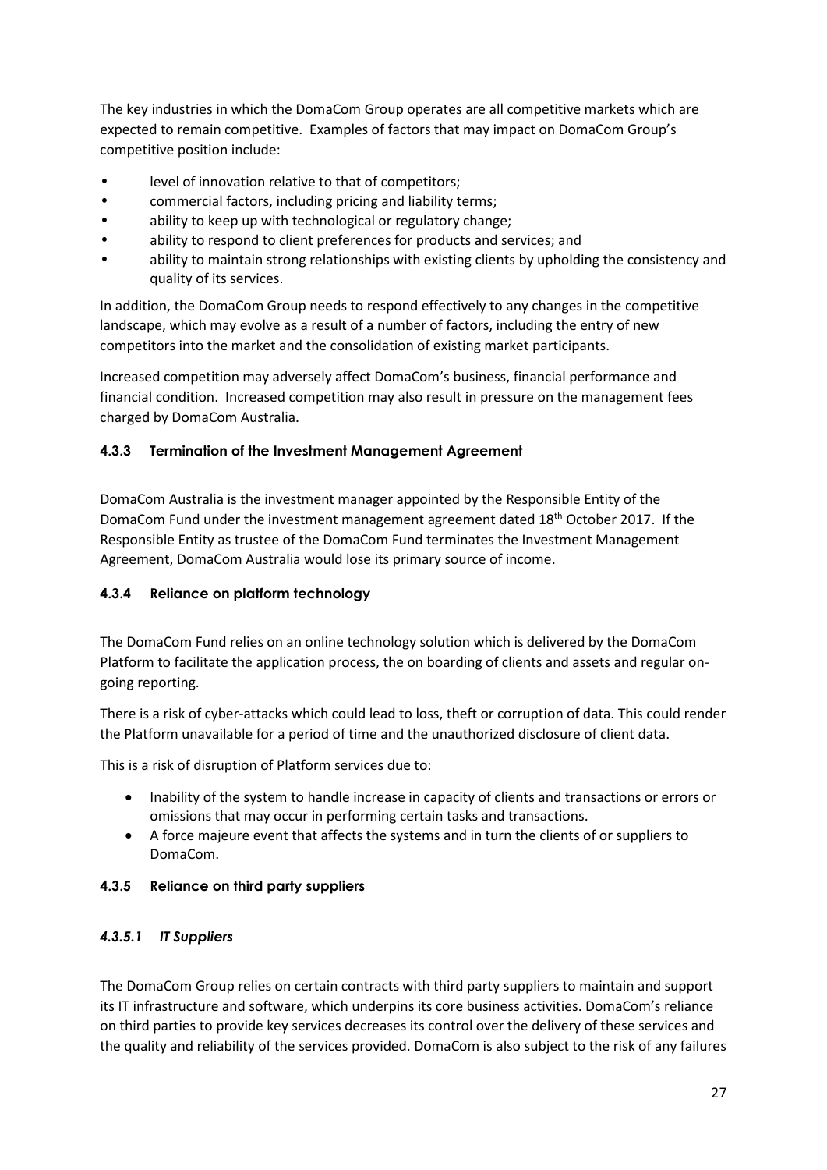The key industries in which the DomaCom Group operates are all competitive markets which are expected to remain competitive. Examples of factors that may impact on DomaCom Group's competitive position include:

- level of innovation relative to that of competitors:
- commercial factors, including pricing and liability terms;
- ability to keep up with technological or regulatory change;
- ability to respond to client preferences for products and services; and
- ability to maintain strong relationships with existing clients by upholding the consistency and quality of its services.

In addition, the DomaCom Group needs to respond effectively to any changes in the competitive landscape, which may evolve as a result of a number of factors, including the entry of new competitors into the market and the consolidation of existing market participants.

Increased competition may adversely affect DomaCom's business, financial performance and financial condition. Increased competition may also result in pressure on the management fees charged by DomaCom Australia.

## **4.3.3 Termination of the Investment Management Agreement**

DomaCom Australia is the investment manager appointed by the Responsible Entity of the DomaCom Fund under the investment management agreement dated 18<sup>th</sup> October 2017. If the Responsible Entity as trustee of the DomaCom Fund terminates the Investment Management Agreement, DomaCom Australia would lose its primary source of income.

## **4.3.4 Reliance on platform technology**

The DomaCom Fund relies on an online technology solution which is delivered by the DomaCom Platform to facilitate the application process, the on boarding of clients and assets and regular ongoing reporting.

There is a risk of cyber-attacks which could lead to loss, theft or corruption of data. This could render the Platform unavailable for a period of time and the unauthorized disclosure of client data.

This is a risk of disruption of Platform services due to:

- Inability of the system to handle increase in capacity of clients and transactions or errors or omissions that may occur in performing certain tasks and transactions.
- A force majeure event that affects the systems and in turn the clients of or suppliers to DomaCom.

## **4.3.5 Reliance on third party suppliers**

## *4.3.5.1 IT Suppliers*

The DomaCom Group relies on certain contracts with third party suppliers to maintain and support its IT infrastructure and software, which underpins its core business activities. DomaCom's reliance on third parties to provide key services decreases its control over the delivery of these services and the quality and reliability of the services provided. DomaCom is also subject to the risk of any failures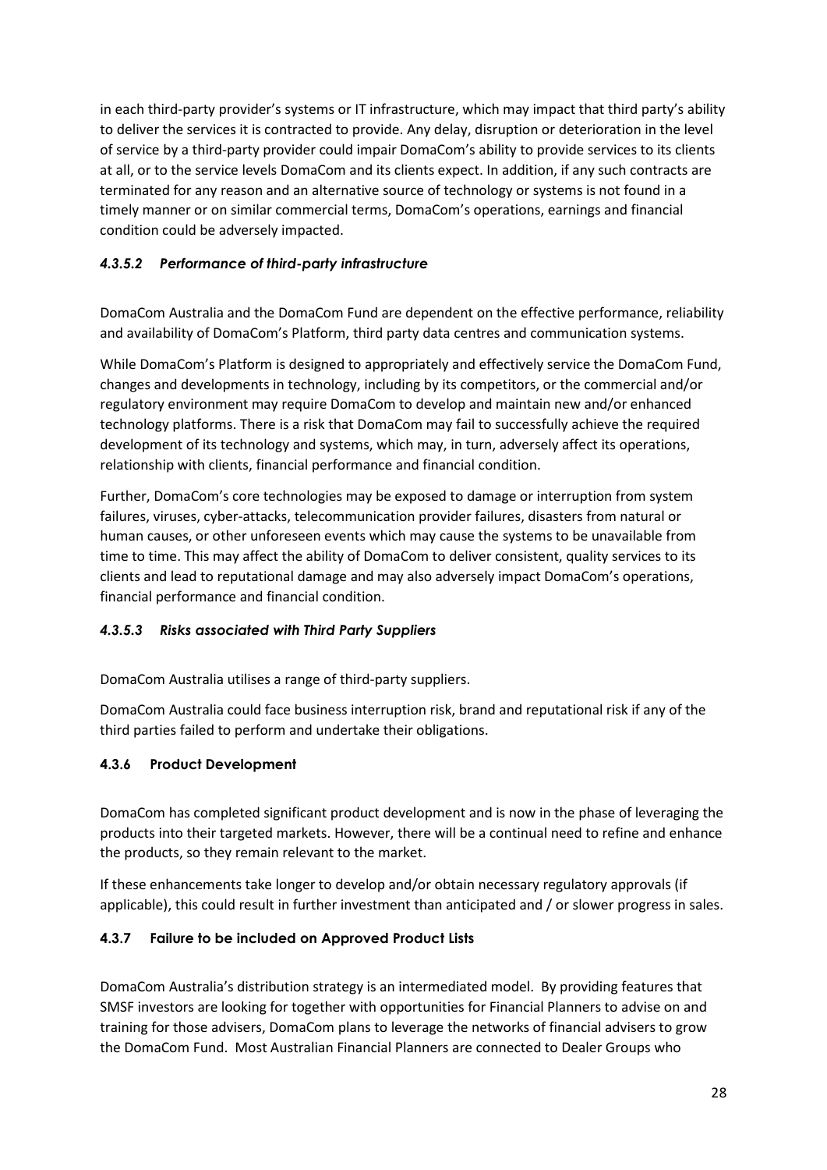in each third-party provider's systems or IT infrastructure, which may impact that third party's ability to deliver the services it is contracted to provide. Any delay, disruption or deterioration in the level of service by a third-party provider could impair DomaCom's ability to provide services to its clients at all, or to the service levels DomaCom and its clients expect. In addition, if any such contracts are terminated for any reason and an alternative source of technology or systems is not found in a timely manner or on similar commercial terms, DomaCom's operations, earnings and financial condition could be adversely impacted.

## *4.3.5.2 Performance of third-party infrastructure*

DomaCom Australia and the DomaCom Fund are dependent on the effective performance, reliability and availability of DomaCom's Platform, third party data centres and communication systems.

While DomaCom's Platform is designed to appropriately and effectively service the DomaCom Fund, changes and developments in technology, including by its competitors, or the commercial and/or regulatory environment may require DomaCom to develop and maintain new and/or enhanced technology platforms. There is a risk that DomaCom may fail to successfully achieve the required development of its technology and systems, which may, in turn, adversely affect its operations, relationship with clients, financial performance and financial condition.

Further, DomaCom's core technologies may be exposed to damage or interruption from system failures, viruses, cyber-attacks, telecommunication provider failures, disasters from natural or human causes, or other unforeseen events which may cause the systems to be unavailable from time to time. This may affect the ability of DomaCom to deliver consistent, quality services to its clients and lead to reputational damage and may also adversely impact DomaCom's operations, financial performance and financial condition.

## *4.3.5.3 Risks associated with Third Party Suppliers*

DomaCom Australia utilises a range of third-party suppliers.

DomaCom Australia could face business interruption risk, brand and reputational risk if any of the third parties failed to perform and undertake their obligations.

## **4.3.6 Product Development**

DomaCom has completed significant product development and is now in the phase of leveraging the products into their targeted markets. However, there will be a continual need to refine and enhance the products, so they remain relevant to the market.

If these enhancements take longer to develop and/or obtain necessary regulatory approvals (if applicable), this could result in further investment than anticipated and / or slower progress in sales.

## **4.3.7 Failure to be included on Approved Product Lists**

DomaCom Australia's distribution strategy is an intermediated model. By providing features that SMSF investors are looking for together with opportunities for Financial Planners to advise on and training for those advisers, DomaCom plans to leverage the networks of financial advisers to grow the DomaCom Fund. Most Australian Financial Planners are connected to Dealer Groups who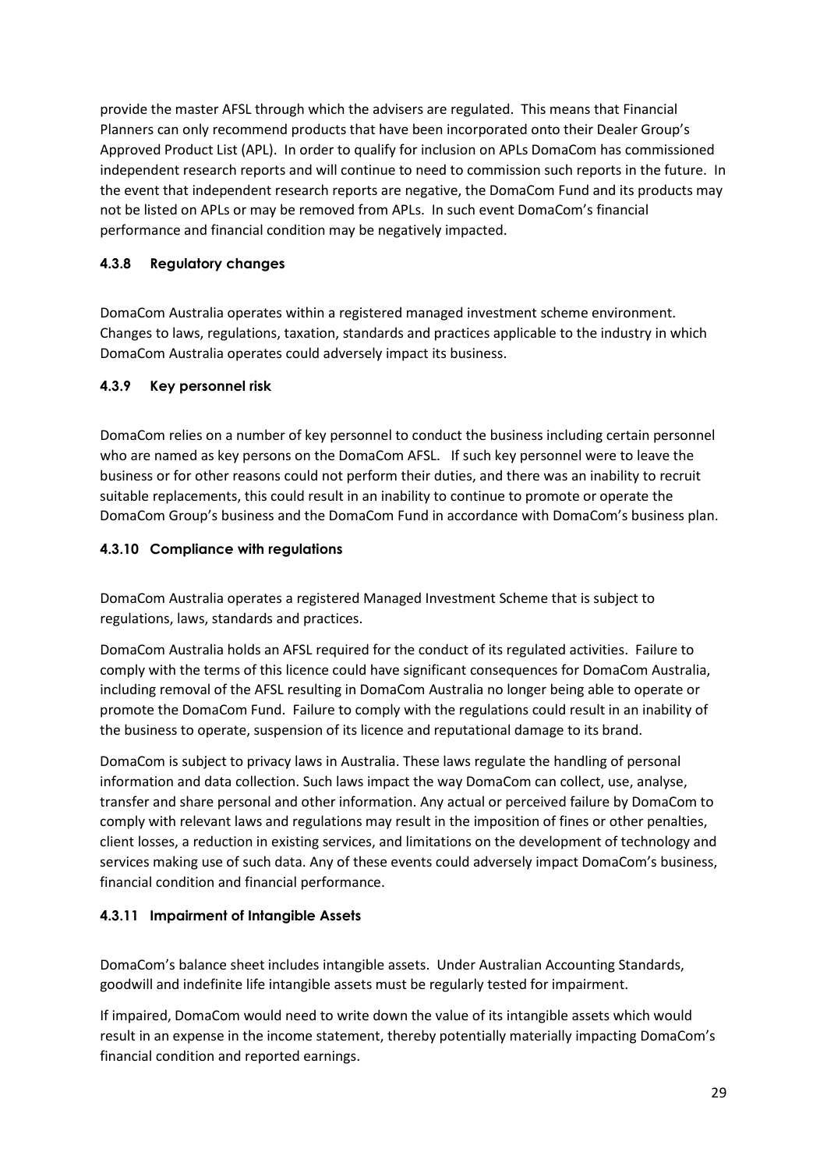provide the master AFSL through which the advisers are regulated. This means that Financial Planners can only recommend products that have been incorporated onto their Dealer Group's Approved Product List (APL). In order to qualify for inclusion on APLs DomaCom has commissioned independent research reports and will continue to need to commission such reports in the future. In the event that independent research reports are negative, the DomaCom Fund and its products may not be listed on APLs or may be removed from APLs. In such event DomaCom's financial performance and financial condition may be negatively impacted.

## **4.3.8 Regulatory changes**

DomaCom Australia operates within a registered managed investment scheme environment. Changes to laws, regulations, taxation, standards and practices applicable to the industry in which DomaCom Australia operates could adversely impact its business.

## **4.3.9 Key personnel risk**

DomaCom relies on a number of key personnel to conduct the business including certain personnel who are named as key persons on the DomaCom AFSL. If such key personnel were to leave the business or for other reasons could not perform their duties, and there was an inability to recruit suitable replacements, this could result in an inability to continue to promote or operate the DomaCom Group's business and the DomaCom Fund in accordance with DomaCom's business plan.

## **4.3.10 Compliance with regulations**

DomaCom Australia operates a registered Managed Investment Scheme that is subject to regulations, laws, standards and practices.

DomaCom Australia holds an AFSL required for the conduct of its regulated activities. Failure to comply with the terms of this licence could have significant consequences for DomaCom Australia, including removal of the AFSL resulting in DomaCom Australia no longer being able to operate or promote the DomaCom Fund. Failure to comply with the regulations could result in an inability of the business to operate, suspension of its licence and reputational damage to its brand.

DomaCom is subject to privacy laws in Australia. These laws regulate the handling of personal information and data collection. Such laws impact the way DomaCom can collect, use, analyse, transfer and share personal and other information. Any actual or perceived failure by DomaCom to comply with relevant laws and regulations may result in the imposition of fines or other penalties, client losses, a reduction in existing services, and limitations on the development of technology and services making use of such data. Any of these events could adversely impact DomaCom's business, financial condition and financial performance.

## **4.3.11 Impairment of Intangible Assets**

DomaCom's balance sheet includes intangible assets. Under Australian Accounting Standards, goodwill and indefinite life intangible assets must be regularly tested for impairment.

If impaired, DomaCom would need to write down the value of its intangible assets which would result in an expense in the income statement, thereby potentially materially impacting DomaCom's financial condition and reported earnings.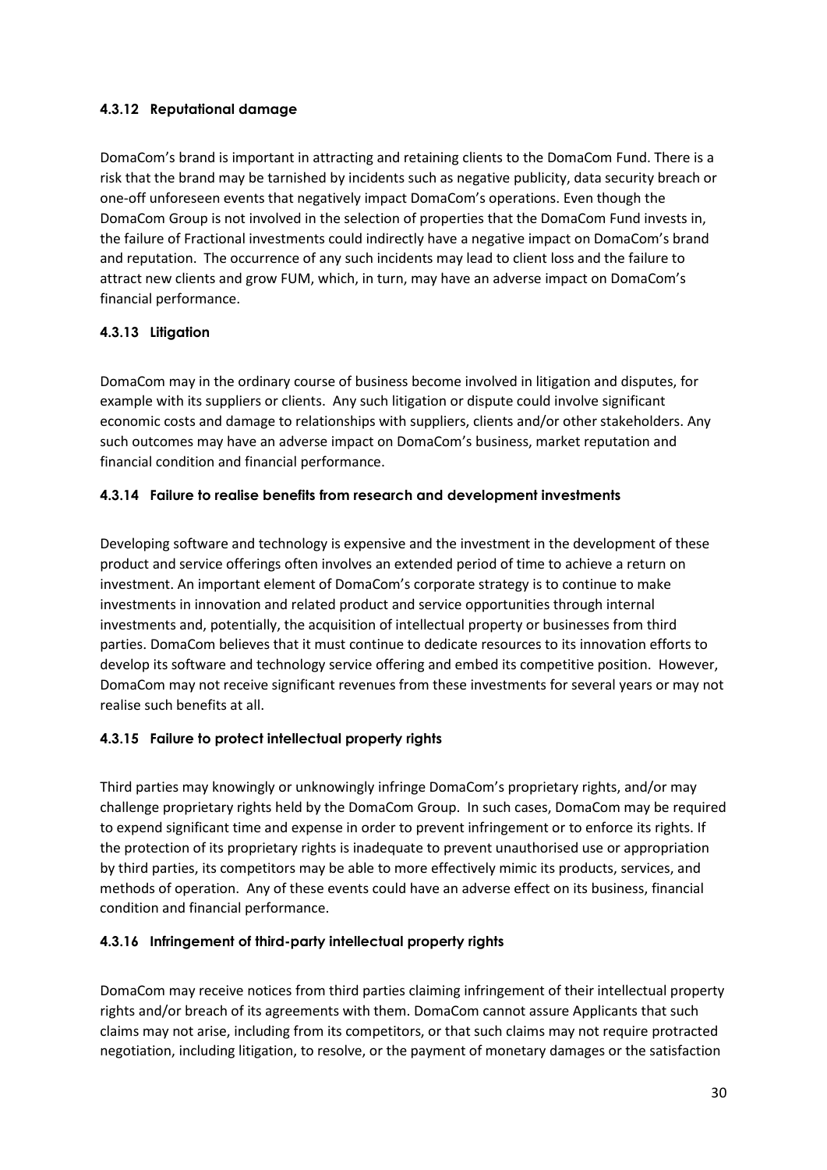## **4.3.12 Reputational damage**

DomaCom's brand is important in attracting and retaining clients to the DomaCom Fund. There is a risk that the brand may be tarnished by incidents such as negative publicity, data security breach or one-off unforeseen events that negatively impact DomaCom's operations. Even though the DomaCom Group is not involved in the selection of properties that the DomaCom Fund invests in, the failure of Fractional investments could indirectly have a negative impact on DomaCom's brand and reputation. The occurrence of any such incidents may lead to client loss and the failure to attract new clients and grow FUM, which, in turn, may have an adverse impact on DomaCom's financial performance.

## **4.3.13 Litigation**

DomaCom may in the ordinary course of business become involved in litigation and disputes, for example with its suppliers or clients. Any such litigation or dispute could involve significant economic costs and damage to relationships with suppliers, clients and/or other stakeholders. Any such outcomes may have an adverse impact on DomaCom's business, market reputation and financial condition and financial performance.

## **4.3.14 Failure to realise benefits from research and development investments**

Developing software and technology is expensive and the investment in the development of these product and service offerings often involves an extended period of time to achieve a return on investment. An important element of DomaCom's corporate strategy is to continue to make investments in innovation and related product and service opportunities through internal investments and, potentially, the acquisition of intellectual property or businesses from third parties. DomaCom believes that it must continue to dedicate resources to its innovation efforts to develop its software and technology service offering and embed its competitive position. However, DomaCom may not receive significant revenues from these investments for several years or may not realise such benefits at all.

## **4.3.15 Failure to protect intellectual property rights**

Third parties may knowingly or unknowingly infringe DomaCom's proprietary rights, and/or may challenge proprietary rights held by the DomaCom Group. In such cases, DomaCom may be required to expend significant time and expense in order to prevent infringement or to enforce its rights. If the protection of its proprietary rights is inadequate to prevent unauthorised use or appropriation by third parties, its competitors may be able to more effectively mimic its products, services, and methods of operation. Any of these events could have an adverse effect on its business, financial condition and financial performance.

## **4.3.16 Infringement of third-party intellectual property rights**

DomaCom may receive notices from third parties claiming infringement of their intellectual property rights and/or breach of its agreements with them. DomaCom cannot assure Applicants that such claims may not arise, including from its competitors, or that such claims may not require protracted negotiation, including litigation, to resolve, or the payment of monetary damages or the satisfaction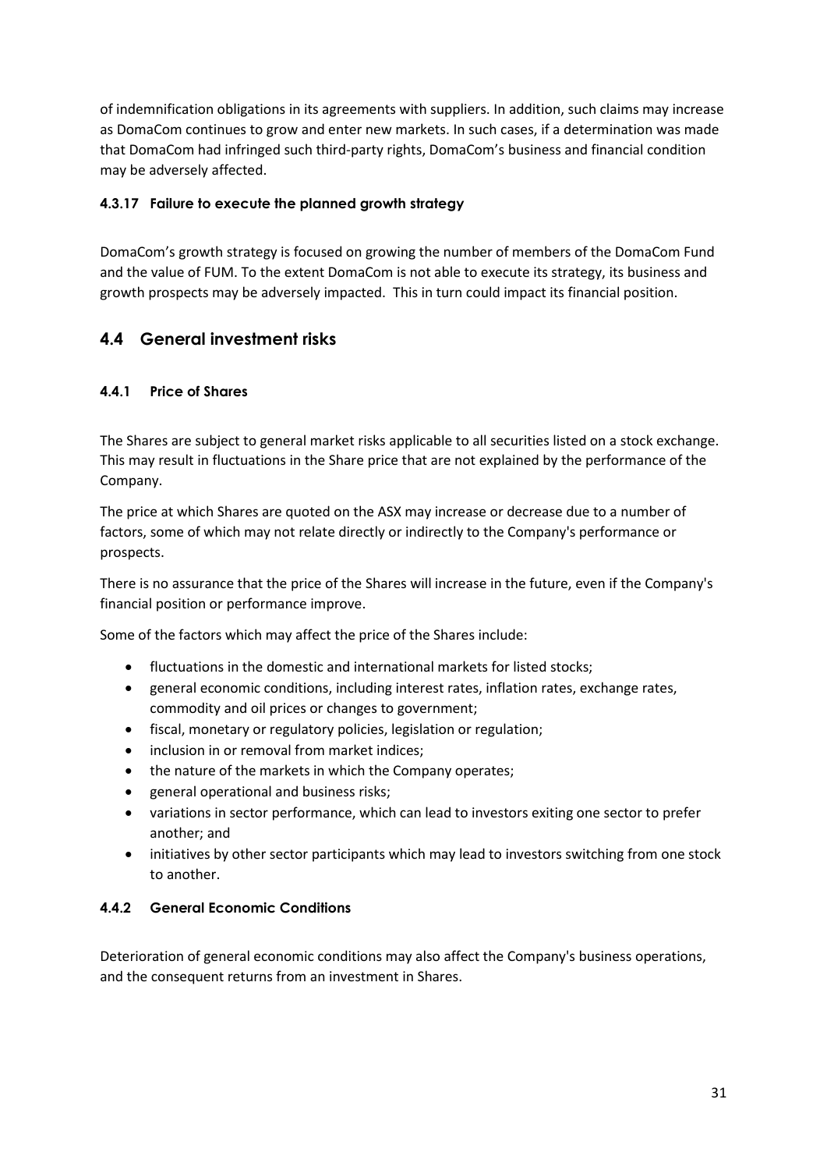of indemnification obligations in its agreements with suppliers. In addition, such claims may increase as DomaCom continues to grow and enter new markets. In such cases, if a determination was made that DomaCom had infringed such third-party rights, DomaCom's business and financial condition may be adversely affected.

## **4.3.17 Failure to execute the planned growth strategy**

DomaCom's growth strategy is focused on growing the number of members of the DomaCom Fund and the value of FUM. To the extent DomaCom is not able to execute its strategy, its business and growth prospects may be adversely impacted. This in turn could impact its financial position.

## **4.4 General investment risks**

## **4.4.1 Price of Shares**

The Shares are subject to general market risks applicable to all securities listed on a stock exchange. This may result in fluctuations in the Share price that are not explained by the performance of the Company.

The price at which Shares are quoted on the ASX may increase or decrease due to a number of factors, some of which may not relate directly or indirectly to the Company's performance or prospects.

There is no assurance that the price of the Shares will increase in the future, even if the Company's financial position or performance improve.

Some of the factors which may affect the price of the Shares include:

- fluctuations in the domestic and international markets for listed stocks;
- general economic conditions, including interest rates, inflation rates, exchange rates, commodity and oil prices or changes to government;
- fiscal, monetary or regulatory policies, legislation or regulation;
- inclusion in or removal from market indices;
- the nature of the markets in which the Company operates;
- general operational and business risks;
- variations in sector performance, which can lead to investors exiting one sector to prefer another; and
- initiatives by other sector participants which may lead to investors switching from one stock to another.

## **4.4.2 General Economic Conditions**

Deterioration of general economic conditions may also affect the Company's business operations, and the consequent returns from an investment in Shares.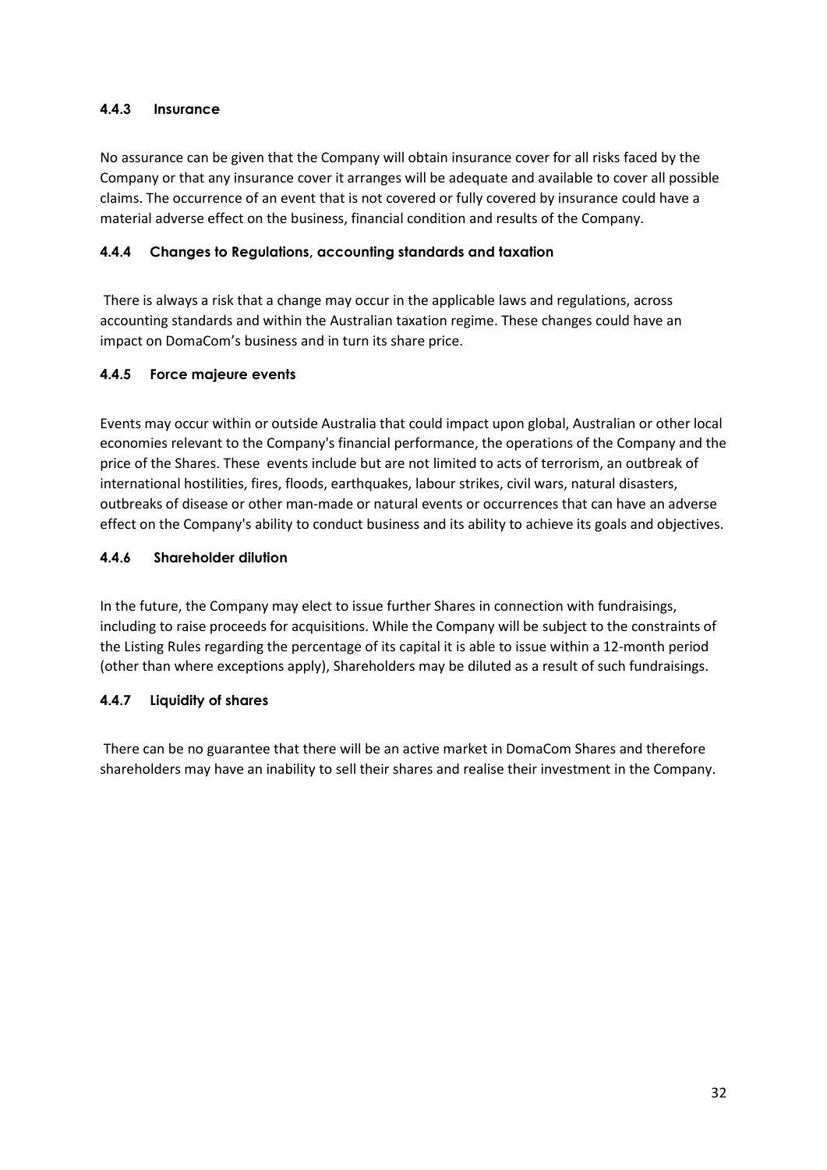## **4.4.3 Insurance**

No assurance can be given that the Company will obtain insurance cover for all risks faced by the Company or that any insurance cover it arranges will be adequate and available to cover all possible claims. The occurrence of an event that is not covered or fully covered by insurance could have a material adverse effect on the business, financial condition and results of the Company.

### **4.4.4 Changes to Regulations, accounting standards and taxation**

There is always a risk that a change may occur in the applicable laws and regulations, across accounting standards and within the Australian taxation regime. These changes could have an impact on DomaCom's business and in turn its share price.

### **4.4.5 Force majeure events**

Events may occur within or outside Australia that could impact upon global, Australian or other local economies relevant to the Company's financial performance, the operations of the Company and the price of the Shares. These events include but are not limited to acts of terrorism, an outbreak of international hostilities, fires, floods, earthquakes, labour strikes, civil wars, natural disasters, outbreaks of disease or other man-made or natural events or occurrences that can have an adverse effect on the Company's ability to conduct business and its ability to achieve its goals and objectives.

### **4.4.6 Shareholder dilution**

In the future, the Company may elect to issue further Shares in connection with fundraisings, including to raise proceeds for acquisitions. While the Company will be subject to the constraints of the Listing Rules regarding the percentage of its capital it is able to issue within a 12-month period (other than where exceptions apply), Shareholders may be diluted as a result of such fundraisings.

### **4.4.7 Liquidity of shares**

There can be no guarantee that there will be an active market in DomaCom Shares and therefore shareholders may have an inability to sell their shares and realise their investment in the Company.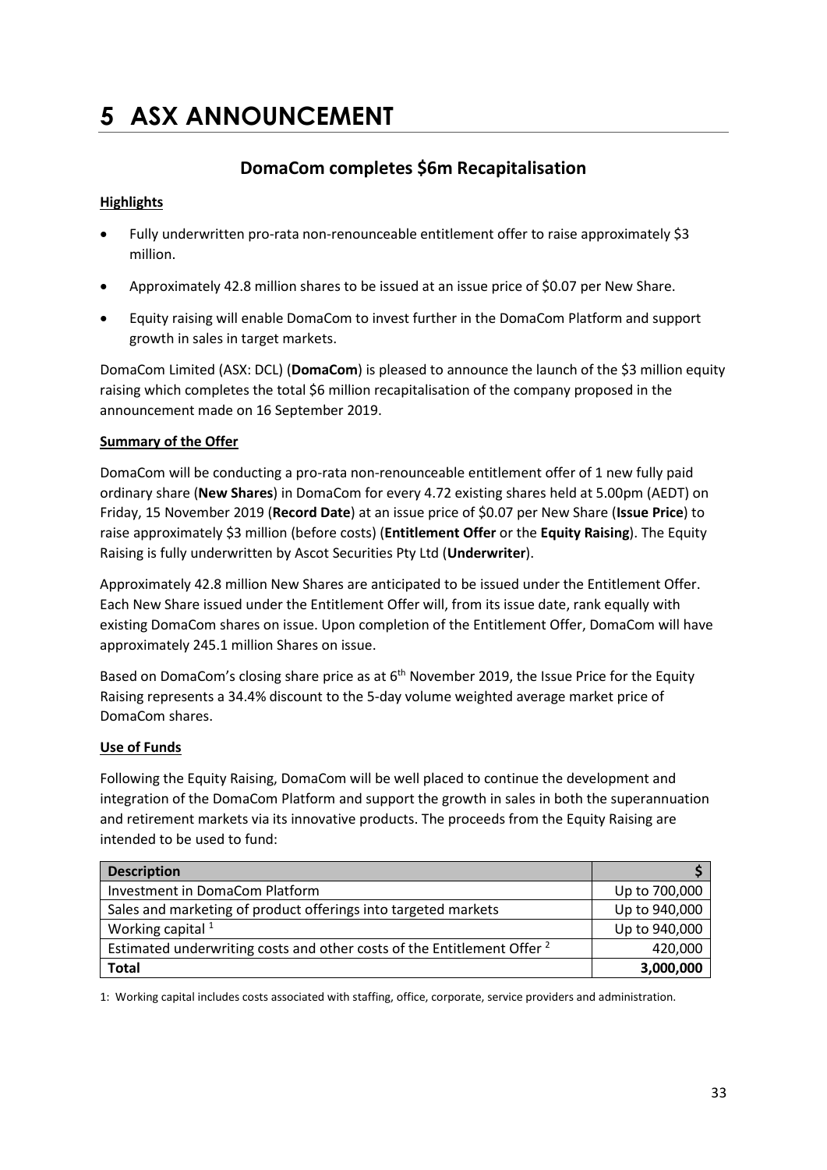# **5 ASX ANNOUNCEMENT**

# **DomaCom completes \$6m Recapitalisation**

## **Highlights**

- Fully underwritten pro-rata non-renounceable entitlement offer to raise approximately \$3 million.
- Approximately 42.8 million shares to be issued at an issue price of \$0.07 per New Share.
- Equity raising will enable DomaCom to invest further in the DomaCom Platform and support growth in sales in target markets.

DomaCom Limited (ASX: DCL) (**DomaCom**) is pleased to announce the launch of the \$3 million equity raising which completes the total \$6 million recapitalisation of the company proposed in the announcement made on 16 September 2019.

## **Summary of the Offer**

DomaCom will be conducting a pro-rata non-renounceable entitlement offer of 1 new fully paid ordinary share (**New Shares**) in DomaCom for every 4.72 existing shares held at 5.00pm (AEDT) on Friday, 15 November 2019 (**Record Date**) at an issue price of \$0.07 per New Share (**Issue Price**) to raise approximately \$3 million (before costs) (**Entitlement Offer** or the **Equity Raising**). The Equity Raising is fully underwritten by Ascot Securities Pty Ltd (**Underwriter**).

Approximately 42.8 million New Shares are anticipated to be issued under the Entitlement Offer. Each New Share issued under the Entitlement Offer will, from its issue date, rank equally with existing DomaCom shares on issue. Upon completion of the Entitlement Offer, DomaCom will have approximately 245.1 million Shares on issue.

Based on DomaCom's closing share price as at 6<sup>th</sup> November 2019, the Issue Price for the Equity Raising represents a 34.4% discount to the 5-day volume weighted average market price of DomaCom shares.

## **Use of Funds**

Following the Equity Raising, DomaCom will be well placed to continue the development and integration of the DomaCom Platform and support the growth in sales in both the superannuation and retirement markets via its innovative products. The proceeds from the Equity Raising are intended to be used to fund:

| <b>Description</b>                                                                 |               |
|------------------------------------------------------------------------------------|---------------|
| Investment in DomaCom Platform                                                     | Up to 700,000 |
| Sales and marketing of product offerings into targeted markets                     | Up to 940,000 |
| Working capital $1$                                                                | Up to 940,000 |
| Estimated underwriting costs and other costs of the Entitlement Offer <sup>2</sup> | 420,000       |
| <b>Total</b>                                                                       | 3,000,000     |

1: Working capital includes costs associated with staffing, office, corporate, service providers and administration.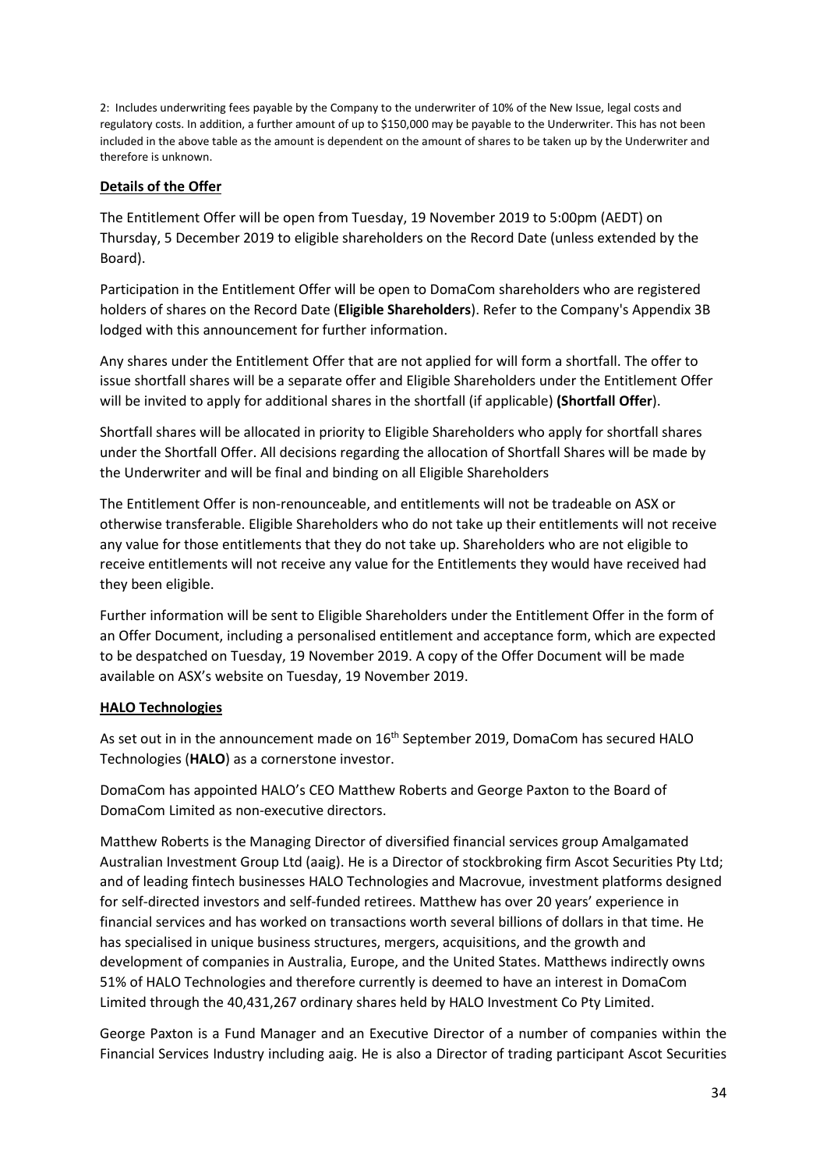2: Includes underwriting fees payable by the Company to the underwriter of 10% of the New Issue, legal costs and regulatory costs. In addition, a further amount of up to \$150,000 may be payable to the Underwriter. This has not been included in the above table as the amount is dependent on the amount of shares to be taken up by the Underwriter and therefore is unknown.

## **Details of the Offer**

The Entitlement Offer will be open from Tuesday, 19 November 2019 to 5:00pm (AEDT) on Thursday, 5 December 2019 to eligible shareholders on the Record Date (unless extended by the Board).

Participation in the Entitlement Offer will be open to DomaCom shareholders who are registered holders of shares on the Record Date (**Eligible Shareholders**). Refer to the Company's Appendix 3B lodged with this announcement for further information.

Any shares under the Entitlement Offer that are not applied for will form a shortfall. The offer to issue shortfall shares will be a separate offer and Eligible Shareholders under the Entitlement Offer will be invited to apply for additional shares in the shortfall (if applicable) **(Shortfall Offer**).

Shortfall shares will be allocated in priority to Eligible Shareholders who apply for shortfall shares under the Shortfall Offer. All decisions regarding the allocation of Shortfall Shares will be made by the Underwriter and will be final and binding on all Eligible Shareholders

The Entitlement Offer is non-renounceable, and entitlements will not be tradeable on ASX or otherwise transferable. Eligible Shareholders who do not take up their entitlements will not receive any value for those entitlements that they do not take up. Shareholders who are not eligible to receive entitlements will not receive any value for the Entitlements they would have received had they been eligible.

Further information will be sent to Eligible Shareholders under the Entitlement Offer in the form of an Offer Document, including a personalised entitlement and acceptance form, which are expected to be despatched on Tuesday, 19 November 2019. A copy of the Offer Document will be made available on ASX's website on Tuesday, 19 November 2019.

## **HALO Technologies**

As set out in in the announcement made on 16<sup>th</sup> September 2019, DomaCom has secured HALO Technologies (**HALO**) as a cornerstone investor.

DomaCom has appointed HALO's CEO Matthew Roberts and George Paxton to the Board of DomaCom Limited as non-executive directors.

Matthew Roberts is the Managing Director of diversified financial services group Amalgamated Australian Investment Group Ltd (aaig). He is a Director of stockbroking firm Ascot Securities Pty Ltd; and of leading fintech businesses HALO Technologies and Macrovue, investment platforms designed for self-directed investors and self-funded retirees. Matthew has over 20 years' experience in financial services and has worked on transactions worth several billions of dollars in that time. He has specialised in unique business structures, mergers, acquisitions, and the growth and development of companies in Australia, Europe, and the United States. Matthews indirectly owns 51% of HALO Technologies and therefore currently is deemed to have an interest in DomaCom Limited through the 40,431,267 ordinary shares held by HALO Investment Co Pty Limited.

George Paxton is a Fund Manager and an Executive Director of a number of companies within the Financial Services Industry including aaig. He is also a Director of trading participant Ascot Securities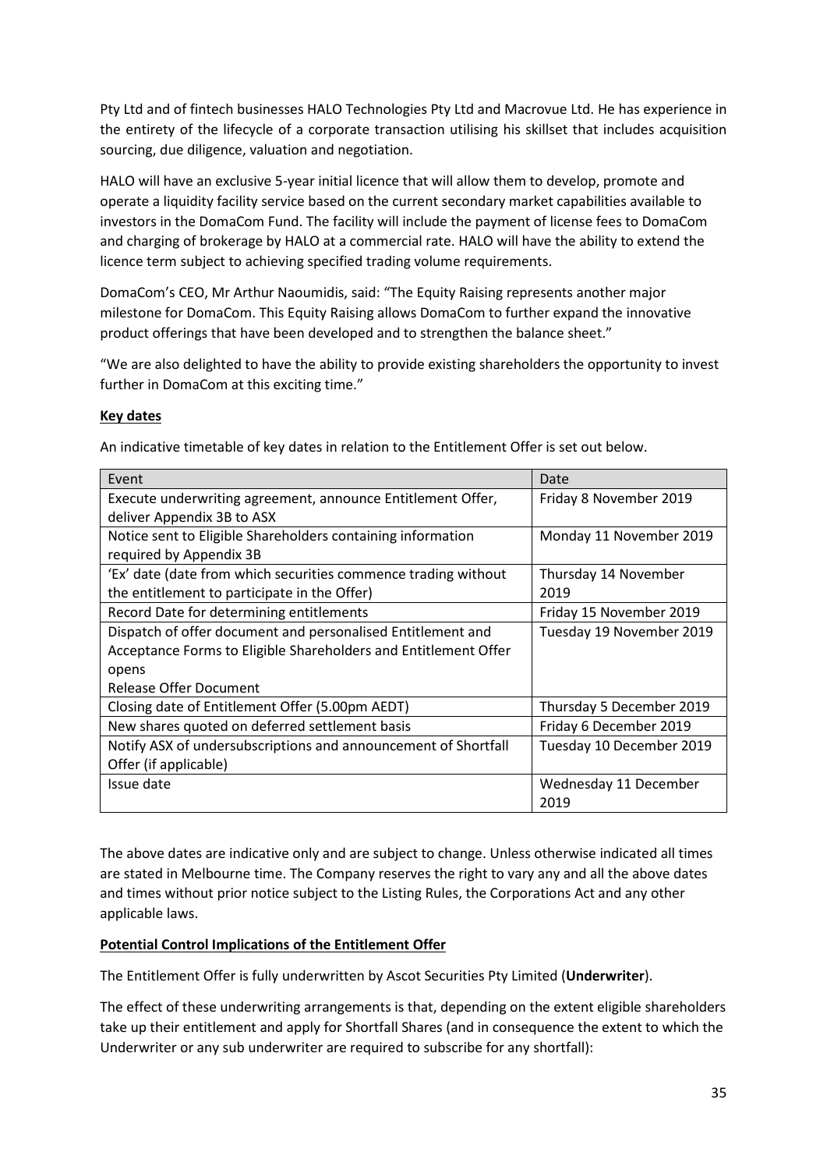Pty Ltd and of fintech businesses HALO Technologies Pty Ltd and Macrovue Ltd. He has experience in the entirety of the lifecycle of a corporate transaction utilising his skillset that includes acquisition sourcing, due diligence, valuation and negotiation.

HALO will have an exclusive 5-year initial licence that will allow them to develop, promote and operate a liquidity facility service based on the current secondary market capabilities available to investors in the DomaCom Fund. The facility will include the payment of license fees to DomaCom and charging of brokerage by HALO at a commercial rate. HALO will have the ability to extend the licence term subject to achieving specified trading volume requirements.

DomaCom's CEO, Mr Arthur Naoumidis, said: "The Equity Raising represents another major milestone for DomaCom. This Equity Raising allows DomaCom to further expand the innovative product offerings that have been developed and to strengthen the balance sheet."

"We are also delighted to have the ability to provide existing shareholders the opportunity to invest further in DomaCom at this exciting time."

## **Key dates**

| Event                                                           | Date                     |
|-----------------------------------------------------------------|--------------------------|
| Execute underwriting agreement, announce Entitlement Offer,     | Friday 8 November 2019   |
| deliver Appendix 3B to ASX                                      |                          |
| Notice sent to Eligible Shareholders containing information     | Monday 11 November 2019  |
| required by Appendix 3B                                         |                          |
| 'Ex' date (date from which securities commence trading without  | Thursday 14 November     |
| the entitlement to participate in the Offer)                    | 2019                     |
| Record Date for determining entitlements                        | Friday 15 November 2019  |
| Dispatch of offer document and personalised Entitlement and     | Tuesday 19 November 2019 |
| Acceptance Forms to Eligible Shareholders and Entitlement Offer |                          |
| opens                                                           |                          |
| Release Offer Document                                          |                          |
| Closing date of Entitlement Offer (5.00pm AEDT)                 | Thursday 5 December 2019 |
| New shares quoted on deferred settlement basis                  | Friday 6 December 2019   |
| Notify ASX of undersubscriptions and announcement of Shortfall  | Tuesday 10 December 2019 |
| Offer (if applicable)                                           |                          |
| Issue date                                                      | Wednesday 11 December    |
|                                                                 | 2019                     |

An indicative timetable of key dates in relation to the Entitlement Offer is set out below.

The above dates are indicative only and are subject to change. Unless otherwise indicated all times are stated in Melbourne time. The Company reserves the right to vary any and all the above dates and times without prior notice subject to the Listing Rules, the Corporations Act and any other applicable laws.

## **Potential Control Implications of the Entitlement Offer**

The Entitlement Offer is fully underwritten by Ascot Securities Pty Limited (**Underwriter**).

The effect of these underwriting arrangements is that, depending on the extent eligible shareholders take up their entitlement and apply for Shortfall Shares (and in consequence the extent to which the Underwriter or any sub underwriter are required to subscribe for any shortfall):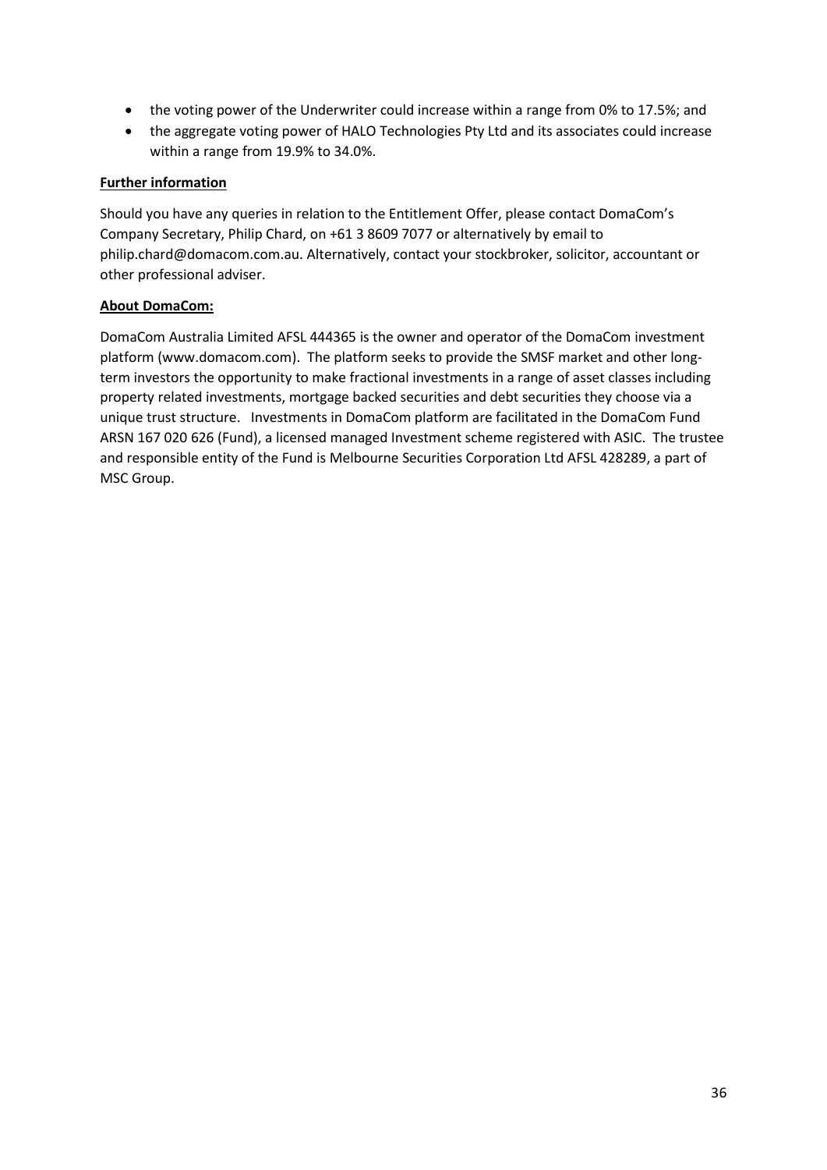- the voting power of the Underwriter could increase within a range from 0% to 17.5%; and
- the aggregate voting power of HALO Technologies Pty Ltd and its associates could increase within a range from 19.9% to 34.0%.

## **Further information**

Should you have any queries in relation to the Entitlement Offer, please contact DomaCom's Company Secretary, Philip Chard, on +61 3 8609 7077 or alternatively by email to philip.chard@domacom.com.au. Alternatively, contact your stockbroker, solicitor, accountant or other professional adviser.

## **About DomaCom:**

DomaCom Australia Limited AFSL 444365 is the owner and operator of the DomaCom investment platform (www.domacom.com). The platform seeks to provide the SMSF market and other longterm investors the opportunity to make fractional investments in a range of asset classes including property related investments, mortgage backed securities and debt securities they choose via a unique trust structure. Investments in DomaCom platform are facilitated in the DomaCom Fund ARSN 167 020 626 (Fund), a licensed managed Investment scheme registered with ASIC. The trustee and responsible entity of the Fund is Melbourne Securities Corporation Ltd AFSL 428289, a part of MSC Group.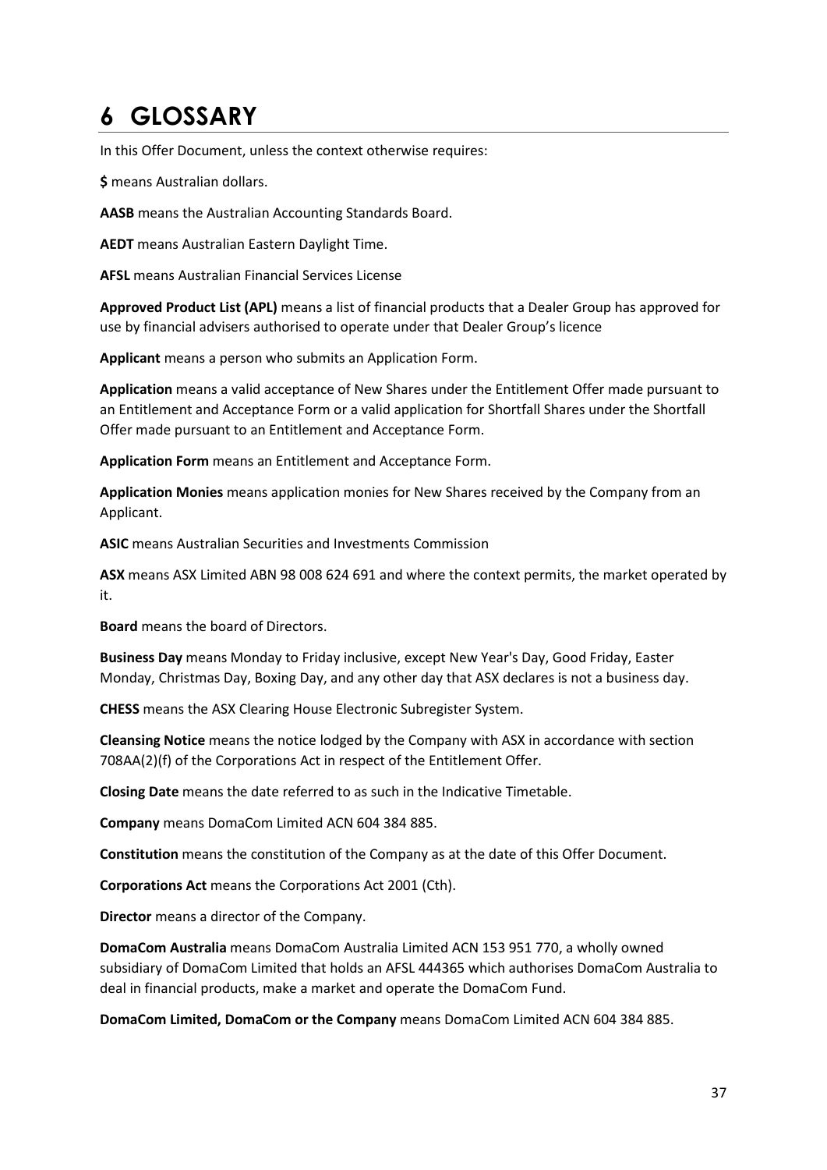# **6 GLOSSARY**

In this Offer Document, unless the context otherwise requires:

**\$** means Australian dollars.

**AASB** means the Australian Accounting Standards Board.

**AEDT** means Australian Eastern Daylight Time.

**AFSL** means Australian Financial Services License

**Approved Product List (APL)** means a list of financial products that a Dealer Group has approved for use by financial advisers authorised to operate under that Dealer Group's licence

**Applicant** means a person who submits an Application Form.

**Application** means a valid acceptance of New Shares under the Entitlement Offer made pursuant to an Entitlement and Acceptance Form or a valid application for Shortfall Shares under the Shortfall Offer made pursuant to an Entitlement and Acceptance Form.

**Application Form** means an Entitlement and Acceptance Form.

**Application Monies** means application monies for New Shares received by the Company from an Applicant.

**ASIC** means Australian Securities and Investments Commission

**ASX** means ASX Limited ABN 98 008 624 691 and where the context permits, the market operated by it.

**Board** means the board of Directors.

**Business Day** means Monday to Friday inclusive, except New Year's Day, Good Friday, Easter Monday, Christmas Day, Boxing Day, and any other day that ASX declares is not a business day.

**CHESS** means the ASX Clearing House Electronic Subregister System.

**Cleansing Notice** means the notice lodged by the Company with ASX in accordance with section 708AA(2)(f) of the Corporations Act in respect of the Entitlement Offer.

**Closing Date** means the date referred to as such in the Indicative Timetable.

**Company** means DomaCom Limited ACN 604 384 885.

**Constitution** means the constitution of the Company as at the date of this Offer Document.

**Corporations Act** means the Corporations Act 2001 (Cth).

**Director** means a director of the Company.

**DomaCom Australia** means DomaCom Australia Limited ACN 153 951 770, a wholly owned subsidiary of DomaCom Limited that holds an AFSL 444365 which authorises DomaCom Australia to deal in financial products, make a market and operate the DomaCom Fund.

**DomaCom Limited, DomaCom or the Company** means DomaCom Limited ACN 604 384 885.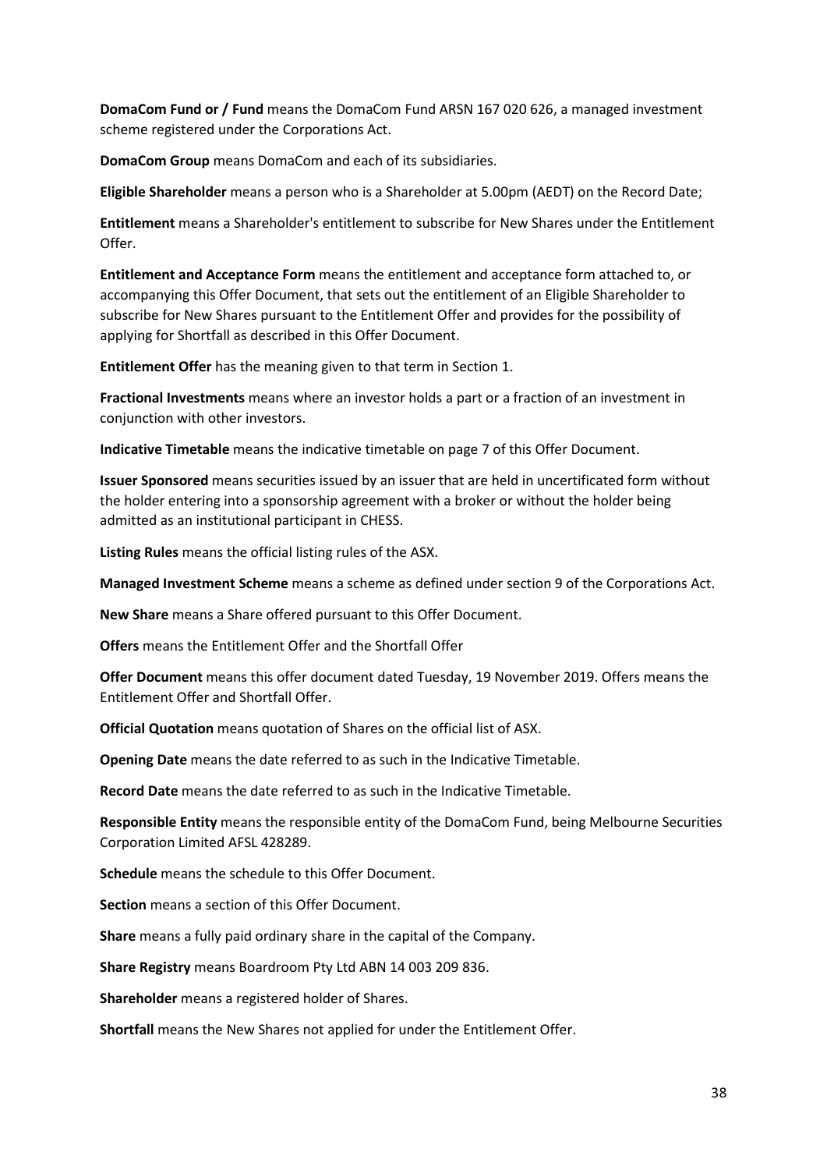**DomaCom Fund or / Fund** means the DomaCom Fund ARSN 167 020 626, a managed investment scheme registered under the Corporations Act.

**DomaCom Group** means DomaCom and each of its subsidiaries.

**Eligible Shareholder** means a person who is a Shareholder at 5.00pm (AEDT) on the Record Date;

**Entitlement** means a Shareholder's entitlement to subscribe for New Shares under the Entitlement Offer.

**Entitlement and Acceptance Form** means the entitlement and acceptance form attached to, or accompanying this Offer Document, that sets out the entitlement of an Eligible Shareholder to subscribe for New Shares pursuant to the Entitlement Offer and provides for the possibility of applying for Shortfall as described in this Offer Document.

**Entitlement Offer** has the meaning given to that term in Section 1.

**Fractional Investments** means where an investor holds a part or a fraction of an investment in conjunction with other investors.

**Indicative Timetable** means the indicative timetable on page 7 of this Offer Document.

**Issuer Sponsored** means securities issued by an issuer that are held in uncertificated form without the holder entering into a sponsorship agreement with a broker or without the holder being admitted as an institutional participant in CHESS.

**Listing Rules** means the official listing rules of the ASX.

**Managed Investment Scheme** means a scheme as defined under section 9 of the Corporations Act.

**New Share** means a Share offered pursuant to this Offer Document.

**Offers** means the Entitlement Offer and the Shortfall Offer

**Offer Document** means this offer document dated Tuesday, 19 November 2019. Offers means the Entitlement Offer and Shortfall Offer.

**Official Quotation** means quotation of Shares on the official list of ASX.

**Opening Date** means the date referred to as such in the Indicative Timetable.

**Record Date** means the date referred to as such in the Indicative Timetable.

**Responsible Entity** means the responsible entity of the DomaCom Fund, being Melbourne Securities Corporation Limited AFSL 428289.

**Schedule** means the schedule to this Offer Document.

**Section** means a section of this Offer Document.

**Share** means a fully paid ordinary share in the capital of the Company.

**Share Registry** means Boardroom Pty Ltd ABN 14 003 209 836.

**Shareholder** means a registered holder of Shares.

**Shortfall** means the New Shares not applied for under the Entitlement Offer.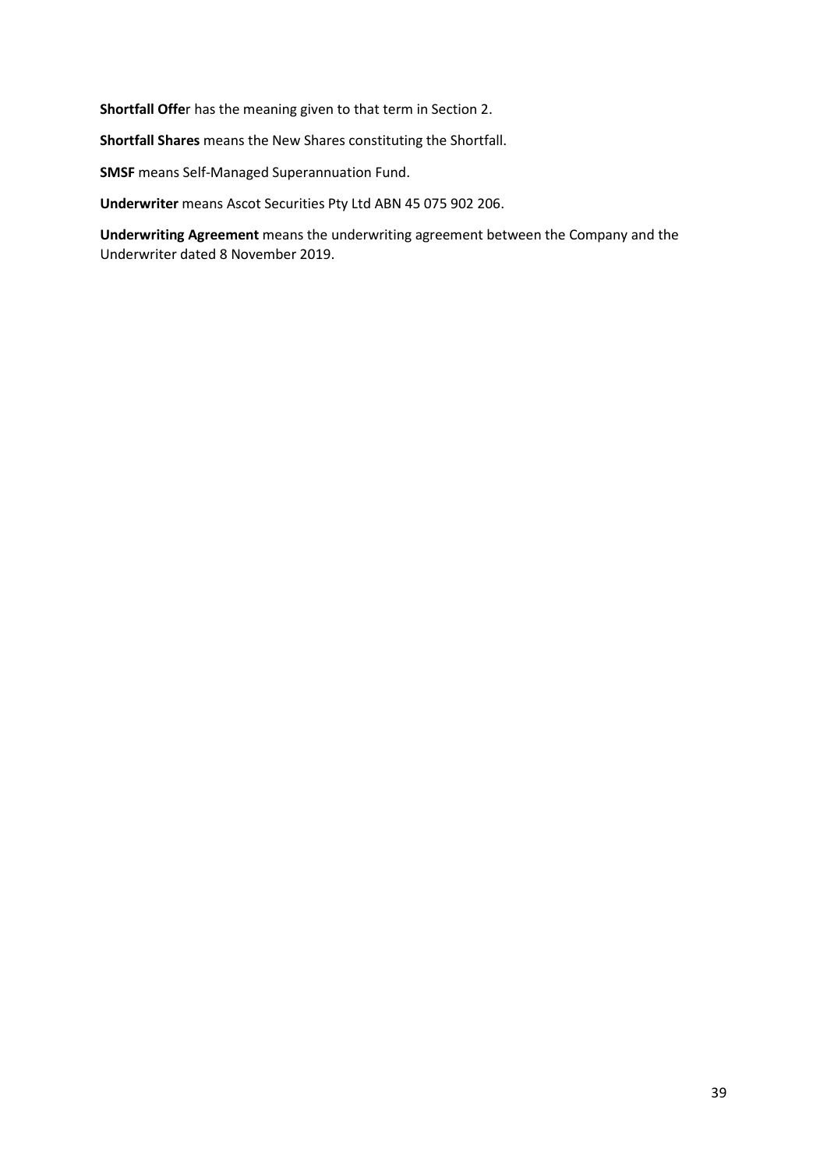**Shortfall Offe**r has the meaning given to that term in Section 2.

**Shortfall Shares** means the New Shares constituting the Shortfall.

**SMSF** means Self-Managed Superannuation Fund.

**Underwriter** means Ascot Securities Pty Ltd ABN 45 075 902 206.

**Underwriting Agreement** means the underwriting agreement between the Company and the Underwriter dated 8 November 2019.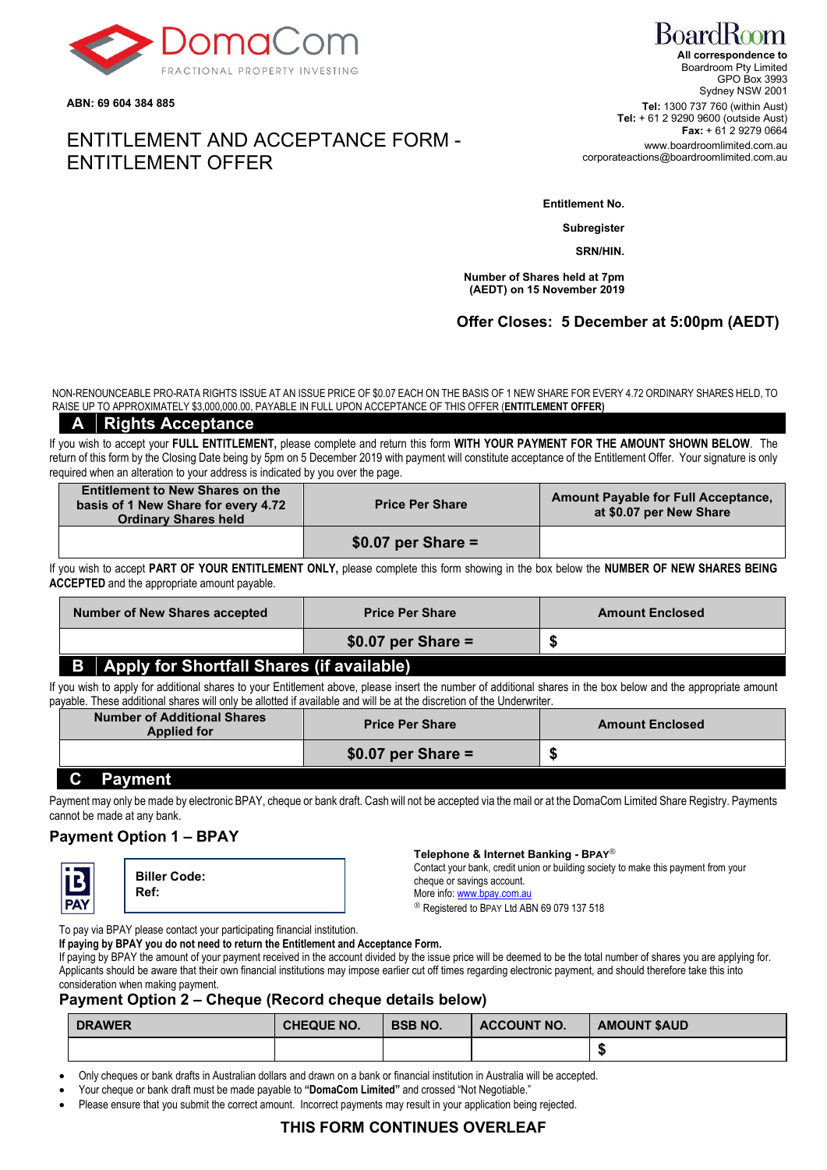

**ABN: 69 604 384 885**

# ENTITLEMENT AND ACCEPTANCE FORM - ENTITLEMENT OFFER

**Entitlement No.**

**Subregister**

**SRN/HIN.**

**Number of Shares held at 7pm (AEDT) on 15 November 2019**

## **Offer Closes: 5 December at 5:00pm (AEDT)**

NON-RENOUNCEABLE PRO-RATA RIGHTS ISSUE AT AN ISSUE PRICE OF \$0.07 EACH ON THE BASIS OF 1 NEW SHARE FOR EVERY 4.72 ORDINARY SHARES HELD, TO RAISE UP TO APPROXIMATELY \$3,000,000.00, PAYABLE IN FULL UPON ACCEPTANCE OF THIS OFFER (**ENTITLEMENT OFFER)**

### **A Rights Acceptance**

If you wish to accept your **FULL ENTITLEMENT,** please complete and return this form **WITH YOUR PAYMENT FOR THE AMOUNT SHOWN BELOW**. The return of this form by the Closing Date being by 5pm on 5 December 2019 with payment will constitute acceptance of the Entitlement Offer. Your signature is only required when an alteration to your address is indicated by you over the page.

| <b>Entitlement to New Shares on the</b><br>basis of 1 New Share for every 4.72<br><b>Ordinary Shares held</b> | <b>Price Per Share</b> | <b>Amount Payable for Full Acceptance,</b><br>at \$0.07 per New Share |
|---------------------------------------------------------------------------------------------------------------|------------------------|-----------------------------------------------------------------------|
|                                                                                                               | $$0.07$ per Share =    |                                                                       |

If you wish to accept **PART OF YOUR ENTITLEMENT ONLY,** please complete this form showing in the box below the **NUMBER OF NEW SHARES BEING ACCEPTED** and the appropriate amount payable.

| <b>Number of New Shares accepted</b>                  | <b>Price Per Share</b> | <b>Amount Enclosed</b> |
|-------------------------------------------------------|------------------------|------------------------|
|                                                       | $$0.07$ per Share =    |                        |
| <b>Apply for Shortfall Shares (if available)</b><br>B |                        |                        |

If you wish to apply for additional shares to your Entitlement above, please insert the number of additional shares in the box below and the appropriate amount payable. These additional shares will only be allotted if available and will be at the discretion of the Underwriter.

| <b>Number of Additional Shares</b><br><b>Applied for</b> | <b>Price Per Share</b> | <b>Amount Enclosed</b> |
|----------------------------------------------------------|------------------------|------------------------|
|                                                          | $$0.07$ per Share =    |                        |

### **C Payment**

Payment may only be made by electronic BPAY, cheque or bank draft. Cash will not be accepted via the mail or at the DomaCom Limited Share Registry. Payments cannot be made at any bank.

## **Payment Option 1 – BPAY**



**Biller Code: Ref:**

#### **Telephone & Internet Banking - BPAY**

Contact your bank, credit union or building society to make this payment from your cheque or savings account.

More info[: www.bpay.com.au](http://www.bpay.com.au/)

<sup>®</sup> Registered to BPAY Ltd ABN 69 079 137 518

To pay via BPAY please contact your participating financial institution.

**If paying by BPAY you do not need to return the Entitlement and Acceptance Form.**

If paying by BPAY the amount of your payment received in the account divided by the issue price will be deemed to be the total number of shares you are applying for. Applicants should be aware that their own financial institutions may impose earlier cut off times regarding electronic payment, and should therefore take this into consideration when making payment.

### **Payment Option 2 – Cheque (Record cheque details below)**

| <b>DRAWER</b> | <b>CHEQUE NO.</b> | <b>BSB NO.</b> | <b>ACCOUNT NO.</b> | <b>AMOUNT \$AUD</b> |
|---------------|-------------------|----------------|--------------------|---------------------|
|               |                   |                |                    |                     |

• Only cheques or bank drafts in Australian dollars and drawn on a bank or financial institution in Australia will be accepted.

• Your cheque or bank draft must be made payable to **"DomaCom Limited"** and crossed "Not Negotiable."

• Please ensure that you submit the correct amount. Incorrect payments may result in your application being rejected.

## **THIS FORM CONTINUES OVERLEAF**